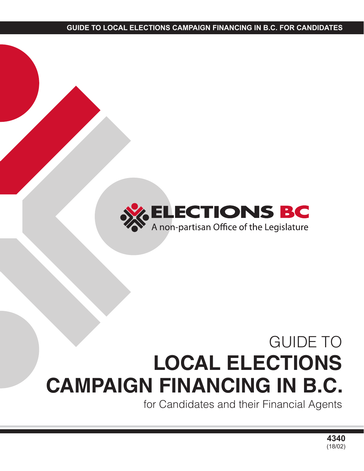

# GUIDE TO **LOCAL ELECTIONS CAMPAIGN FINANCING IN B.C.**

for Candidates and their Financial Agents

**4340** (18/02)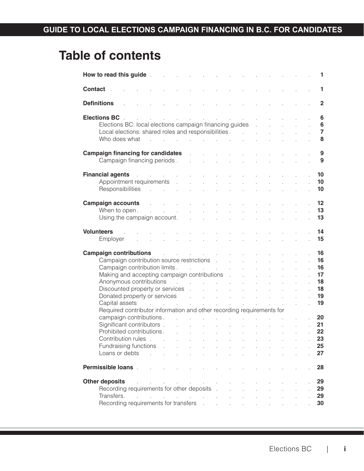# **Table of contents**

|                     | How to read this guide.                                                                                                                                                                                                        |                                                 |                                                                     |                           |                            |                |                                     |                                                                  |                            |                            |                                                                 |                                  | 1.                                |
|---------------------|--------------------------------------------------------------------------------------------------------------------------------------------------------------------------------------------------------------------------------|-------------------------------------------------|---------------------------------------------------------------------|---------------------------|----------------------------|----------------|-------------------------------------|------------------------------------------------------------------|----------------------------|----------------------------|-----------------------------------------------------------------|----------------------------------|-----------------------------------|
| Contact             |                                                                                                                                                                                                                                |                                                 |                                                                     |                           |                            |                |                                     |                                                                  |                            |                            |                                                                 |                                  | 1.                                |
| <b>Definitions</b>  |                                                                                                                                                                                                                                |                                                 |                                                                     |                           |                            |                |                                     |                                                                  |                            |                            |                                                                 |                                  | $\overline{2}$                    |
| <b>Elections BC</b> |                                                                                                                                                                                                                                |                                                 |                                                                     | $\mathbb{R}^{\mathbb{Z}}$ | $\mathbf{r}$               |                |                                     | and the control of the control of                                |                            |                            |                                                                 |                                  | 6                                 |
|                     | Elections BC: local elections campaign financing guides                                                                                                                                                                        |                                                 |                                                                     |                           |                            |                |                                     |                                                                  |                            |                            |                                                                 |                                  | $6\phantom{a}$<br>$\overline{7}$  |
|                     | Local elections: shared roles and responsibilities.<br>Who does what                                                                                                                                                           |                                                 | the contract of the contract of the contract of                     |                           |                            |                |                                     |                                                                  |                            |                            |                                                                 |                                  | 8                                 |
|                     |                                                                                                                                                                                                                                |                                                 |                                                                     |                           |                            |                |                                     |                                                                  |                            |                            |                                                                 |                                  |                                   |
|                     | <b>Campaign financing for candidates</b>                                                                                                                                                                                       |                                                 |                                                                     |                           | $\mathbf{r}$               |                |                                     |                                                                  |                            |                            |                                                                 |                                  | 9                                 |
|                     | Campaign financing periods.                                                                                                                                                                                                    |                                                 |                                                                     |                           | $\mathbf{r}$               |                |                                     |                                                                  |                            |                            |                                                                 |                                  | 9                                 |
|                     |                                                                                                                                                                                                                                |                                                 |                                                                     |                           |                            |                |                                     |                                                                  |                            |                            |                                                                 |                                  |                                   |
|                     | <b>Financial agents</b>                                                                                                                                                                                                        | and the company of the company                  |                                                                     |                           |                            |                |                                     |                                                                  |                            |                            |                                                                 |                                  | 10                                |
|                     | Appointment requirements                                                                                                                                                                                                       |                                                 |                                                                     | $\mathcal{L}$             |                            |                |                                     |                                                                  |                            |                            |                                                                 |                                  | 10<br>10                          |
|                     | Responsibilities                                                                                                                                                                                                               | $\sim$                                          | $\mathcal{L}^{\text{max}}$ and $\mathcal{L}^{\text{max}}$           |                           | $\mathbf{r}$               | l.             | $\overline{a}$                      |                                                                  |                            |                            |                                                                 |                                  |                                   |
|                     | <b>Campaign accounts</b>                                                                                                                                                                                                       |                                                 | $\sim$                                                              |                           |                            |                |                                     |                                                                  |                            |                            |                                                                 |                                  | 12                                |
|                     | When to open.                                                                                                                                                                                                                  |                                                 | and the company                                                     |                           | $\mathcal{L}^{\text{max}}$ | $\mathbb{R}^2$ |                                     |                                                                  |                            |                            |                                                                 |                                  | 13                                |
|                     | Using the campaign account.                                                                                                                                                                                                    |                                                 |                                                                     |                           | <b>Service State</b>       |                | $\mathbf{r}$                        |                                                                  |                            |                            |                                                                 |                                  | 13                                |
|                     |                                                                                                                                                                                                                                |                                                 |                                                                     |                           |                            |                |                                     |                                                                  |                            |                            |                                                                 |                                  |                                   |
| <b>Volunteers</b>   |                                                                                                                                                                                                                                |                                                 |                                                                     |                           |                            |                |                                     |                                                                  |                            |                            |                                                                 |                                  | 14                                |
|                     | Employer                                                                                                                                                                                                                       |                                                 |                                                                     |                           |                            |                |                                     |                                                                  |                            |                            |                                                                 |                                  | 15                                |
|                     |                                                                                                                                                                                                                                |                                                 |                                                                     |                           |                            |                |                                     |                                                                  |                            |                            |                                                                 |                                  |                                   |
|                     | <b>Campaign contributions</b>                                                                                                                                                                                                  |                                                 | the control of the control of                                       |                           |                            |                |                                     |                                                                  |                            |                            |                                                                 |                                  | 16                                |
|                     | Campaign contribution source restrictions                                                                                                                                                                                      |                                                 |                                                                     |                           |                            |                |                                     |                                                                  |                            |                            |                                                                 |                                  | 16<br>16                          |
|                     | Campaign contribution limits.                                                                                                                                                                                                  |                                                 |                                                                     |                           |                            |                | and the company of                  |                                                                  |                            |                            |                                                                 |                                  | 17                                |
|                     | Making and accepting campaign contributions .<br>Anonymous contributions                                                                                                                                                       |                                                 |                                                                     |                           |                            |                | and the contract of the contract of |                                                                  | l.                         |                            |                                                                 |                                  | 18                                |
|                     |                                                                                                                                                                                                                                |                                                 |                                                                     |                           |                            |                |                                     |                                                                  | $\mathbf{r}$               | $\mathbf{r}$               | $\mathbf{r}$                                                    |                                  | 18<br>l.                          |
|                     | Donated property or services and the service of the service of the service of the service of the service of the service of the service of the service of the service of the service of the service of the service of the servi |                                                 |                                                                     |                           |                            |                |                                     |                                                                  |                            |                            |                                                                 |                                  | 19<br>l.                          |
|                     | Capital assets                                                                                                                                                                                                                 |                                                 | the contract of the contract of the contract of the contract of the |                           |                            |                |                                     |                                                                  |                            |                            |                                                                 |                                  | 19<br>l.                          |
|                     | Required contributor information and other recording requirements for                                                                                                                                                          |                                                 |                                                                     |                           |                            |                |                                     |                                                                  |                            |                            |                                                                 |                                  |                                   |
|                     | campaign contributions.                                                                                                                                                                                                        |                                                 |                                                                     | $\sim 10^{-1}$            | $\sim$                     |                |                                     | $\Delta \phi$ and $\Delta \phi$ are the set of the set of $\phi$ |                            |                            |                                                                 |                                  | 20                                |
|                     | Significant contributors . The contributors of the contributors of the contributors of the contributors of the contributors of the contributors of the contributors of the contributors of the contributors of the contributor |                                                 |                                                                     |                           |                            |                |                                     |                                                                  |                            |                            |                                                                 | $\mathcal{L}$                    | 21                                |
|                     | Prohibited contributions.                                                                                                                                                                                                      |                                                 |                                                                     |                           |                            |                |                                     |                                                                  |                            |                            | the contract of the contract of the contract of the contract of | $\mathcal{L}^{\text{max}}$<br>t, | 22                                |
|                     | Contribution rules.                                                                                                                                                                                                            |                                                 |                                                                     |                           |                            |                |                                     |                                                                  |                            |                            |                                                                 |                                  | 23                                |
|                     | Fundraising functions                                                                                                                                                                                                          |                                                 |                                                                     |                           |                            |                |                                     |                                                                  |                            |                            |                                                                 |                                  | 25<br>t,                          |
|                     | Loans or debts                                                                                                                                                                                                                 | $\sim$                                          | $\mathbf{r}$                                                        |                           |                            |                |                                     |                                                                  |                            |                            |                                                                 |                                  | 27                                |
|                     | Permissible loans.                                                                                                                                                                                                             |                                                 |                                                                     |                           |                            |                |                                     |                                                                  |                            |                            |                                                                 |                                  | 28                                |
|                     |                                                                                                                                                                                                                                |                                                 |                                                                     |                           |                            |                |                                     |                                                                  |                            |                            |                                                                 |                                  |                                   |
|                     | <b>Other deposits</b><br>Recording requirements for other deposits .                                                                                                                                                           | the contract of the contract of the contract of |                                                                     |                           |                            |                |                                     | $\cdot$                                                          |                            |                            |                                                                 |                                  | 29<br>29                          |
|                     | Transfers.                                                                                                                                                                                                                     |                                                 |                                                                     |                           |                            |                |                                     |                                                                  |                            |                            |                                                                 |                                  | $\mathcal{L}^{\mathcal{L}}$<br>29 |
|                     | Recording requirements for transfers .                                                                                                                                                                                         | the contract of the contract of the contract of |                                                                     |                           |                            |                | $\mathbf{r}$                        |                                                                  | $\mathcal{L}^{\text{max}}$ | $\mathcal{L}^{\text{max}}$ |                                                                 |                                  | 30                                |
|                     |                                                                                                                                                                                                                                |                                                 |                                                                     |                           |                            |                |                                     |                                                                  |                            |                            |                                                                 |                                  |                                   |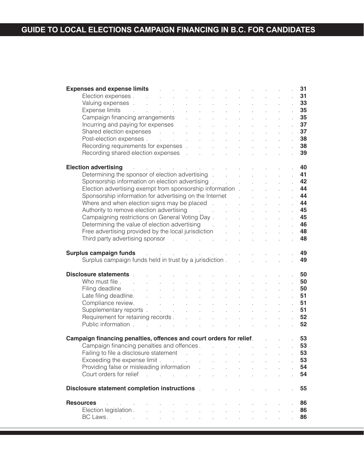| <b>Expenses and expense limits Expenses Expenses</b>                                                                                                                                                                                                |               |                             |        |                                |                            | and the state of the state |                                    |                              | 31       |
|-----------------------------------------------------------------------------------------------------------------------------------------------------------------------------------------------------------------------------------------------------|---------------|-----------------------------|--------|--------------------------------|----------------------------|----------------------------|------------------------------------|------------------------------|----------|
|                                                                                                                                                                                                                                                     |               |                             |        |                                |                            |                            | $\Delta \phi = 0.1$ and            |                              | . 31     |
|                                                                                                                                                                                                                                                     |               |                             |        |                                | $\Delta \sim 10$           |                            |                                    |                              | . 33     |
|                                                                                                                                                                                                                                                     |               |                             |        |                                | $\sim$                     |                            | $\Delta \sim 10^{11}$ km s $^{-1}$ |                              | . 35     |
|                                                                                                                                                                                                                                                     |               |                             |        |                                | $\sim$                     |                            |                                    | $\sim 10^6$                  | 35       |
|                                                                                                                                                                                                                                                     |               |                             |        |                                | $\sim$                     |                            |                                    | $\sim 10^6$                  | 37       |
|                                                                                                                                                                                                                                                     |               |                             |        |                                | $\sim$                     |                            |                                    | $\sim 10^{-11}$              | 37       |
|                                                                                                                                                                                                                                                     |               |                             |        |                                | $\sim$                     |                            |                                    |                              | 38       |
|                                                                                                                                                                                                                                                     |               |                             |        |                                |                            |                            |                                    |                              | 38       |
|                                                                                                                                                                                                                                                     |               |                             |        |                                | $\sim$                     |                            |                                    |                              |          |
| <b>nses and expense limits</b><br>Election expenses<br>Valuing expenses<br>Expense limits<br>Campaign financing arrangements<br>Incurring and paying for expenses<br>Shared election expenses<br>Post-election expenses<br>Recording requirements f |               |                             |        |                                | $\mathcal{L}^{\text{max}}$ |                            |                                    |                              | 39       |
| $\mathcal{L}^{\mathcal{A}}$ . The signal properties of the signal properties of the signal properties<br><b>Election advertising</b>                                                                                                                |               |                             |        |                                |                            |                            |                                    |                              | - 40     |
|                                                                                                                                                                                                                                                     |               |                             |        |                                |                            |                            |                                    |                              |          |
| Determining the sponsor of election advertising example.                                                                                                                                                                                            |               |                             |        |                                |                            |                            |                                    |                              | .41      |
| Sponsorship information on election advertising .                                                                                                                                                                                                   |               |                             |        |                                | $\sim$                     |                            |                                    |                              | .42      |
| Election advertising exempt from sponsorship information.                                                                                                                                                                                           |               |                             |        |                                |                            | $\mathcal{L}^{\text{max}}$ |                                    | $\mathcal{L}_{\mathrm{max}}$ | .44      |
| Sponsorship information for advertising on the Internet Fig.                                                                                                                                                                                        |               |                             |        |                                |                            |                            |                                    | $\mathcal{L}_{\mathrm{max}}$ | .44      |
| Where and when election signs may be placed . The state of the state of the Maria                                                                                                                                                                   |               |                             |        |                                |                            |                            |                                    | $\sim$                       | .44      |
| Authority to remove election advertising and the control of the control of the Authority of Authority Authorit                                                                                                                                      |               |                             |        | $\mathcal{L}^{\mathcal{L}}$    |                            |                            |                                    |                              | .45      |
|                                                                                                                                                                                                                                                     |               |                             |        |                                |                            |                            |                                    |                              | .45      |
| Campaigning restrictions on General Voting Day<br>Determining the value of election advertising<br>Deterministic properties that the lead insisting                                                                                                 |               |                             |        | $\mathcal{L}^{\text{max}}$ and |                            |                            |                                    |                              | .46      |
|                                                                                                                                                                                                                                                     |               |                             |        |                                |                            |                            |                                    |                              | 48       |
| Free advertising provided by the local jurisdiction<br>Third party advertising sponsor                                                                                                                                                              |               |                             |        |                                |                            |                            |                                    |                              |          |
|                                                                                                                                                                                                                                                     |               |                             |        |                                |                            |                            |                                    |                              | 48       |
| and the state of the state of the state of the state of<br>Surplus campaign funds<br>Surplus campaign funds held in trust by a jurisdiction                                                                                                         |               |                             |        |                                |                            |                            |                                    |                              | 49<br>49 |
| Disclosure statements .<br>and the state of the state of the state of the state of the state of the state of the state of the state of the                                                                                                          |               |                             |        |                                |                            |                            |                                    |                              | . 50     |
| Who must file                                                                                                                                                                                                                                       |               |                             |        |                                |                            |                            |                                    |                              | . 50     |
|                                                                                                                                                                                                                                                     |               |                             |        |                                |                            |                            |                                    |                              |          |
| Filing deadline Filing                                                                                                                                                                                                                              | $\mathcal{L}$ | $\mathcal{L}^{\mathcal{L}}$ | $\sim$ | $\sim$                         |                            |                            |                                    | $\sim 10^7$                  | . 50     |
|                                                                                                                                                                                                                                                     |               |                             |        |                                |                            |                            |                                    | $\sim 10^{-11}$              | . 51     |
|                                                                                                                                                                                                                                                     |               |                             |        |                                |                            |                            |                                    | $\sim 10^{-1}$               | .51      |
|                                                                                                                                                                                                                                                     |               |                             |        |                                |                            |                            |                                    | $\sim 10^{-11}$              | . 51     |
|                                                                                                                                                                                                                                                     |               |                             |        |                                |                            |                            |                                    | $\sim 10^{-11}$              | . 52     |
| Filing deadline.<br>Late filing deadline.<br>Compliance review.<br>Supplementary reports<br>Requirement for retaining records.<br>Public information.                                                                                               |               |                             |        |                                |                            |                            | <b>Service State</b>               |                              | 52       |
|                                                                                                                                                                                                                                                     |               |                             |        |                                |                            |                            |                                    |                              |          |
| Campaign financing penalties, offences and court orders for relief.                                                                                                                                                                                 |               |                             |        |                                |                            |                            |                                    |                              | 53       |
| Campaign financing penalties and offences.                                                                                                                                                                                                          |               |                             |        |                                |                            |                            |                                    |                              | 53       |
| Failing to file a disclosure statement and the control of the statement of the statement of the statement of the statement of the statement of the statement of the statement of the statement of the statement of the stateme                      |               |                             |        |                                |                            |                            |                                    |                              | 53       |
| Exceeding the expense limit.                                                                                                                                                                                                                        |               |                             |        |                                |                            |                            |                                    |                              | 53       |
| $\mathcal{L}(\mathcal{L})$ and $\mathcal{L}(\mathcal{L})$                                                                                                                                                                                           |               | $\sim 10^{-1}$              | $\sim$ | $\mathbf{r}$                   |                            |                            |                                    |                              |          |
| Providing false or misleading information                                                                                                                                                                                                           |               | $\sim 10^7$                 | ÷.     |                                |                            |                            |                                    |                              | 54       |
| Court orders for relief<br>and the contract of the con-                                                                                                                                                                                             |               | $\sim$                      |        |                                |                            |                            |                                    |                              | 54       |
|                                                                                                                                                                                                                                                     |               |                             |        |                                |                            |                            |                                    |                              |          |
| Disclosure statement completion instructions [145]                                                                                                                                                                                                  |               |                             |        |                                |                            |                            |                                    | l.                           | 55       |
|                                                                                                                                                                                                                                                     |               |                             |        |                                |                            |                            |                                    |                              |          |
| <b>Resources</b><br>and the state of                                                                                                                                                                                                                |               |                             |        |                                |                            |                            |                                    |                              | 86       |
| Election legislation.<br>$\mathbb{R}^2$<br>$\mathbf{r}$                                                                                                                                                                                             | $\mathcal{L}$ |                             |        |                                |                            |                            |                                    |                              | 86       |
| BC Laws<br>$\mathcal{L}$                                                                                                                                                                                                                            |               |                             |        |                                |                            |                            |                                    |                              | 86       |
|                                                                                                                                                                                                                                                     |               |                             |        |                                |                            |                            |                                    |                              |          |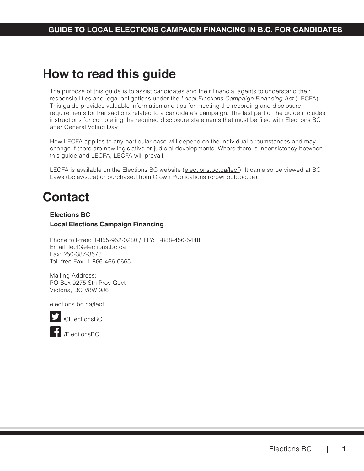# <span id="page-3-0"></span>**How to read this guide**

The purpose of this guide is to assist candidates and their financial agents to understand their responsibilities and legal obligations under the Local Elections Campaign Financing Act (LECFA). This guide provides valuable information and tips for meeting the recording and disclosure requirements for transactions related to a candidate's campaign. The last part of the guide includes instructions for completing the required disclosure statements that must be filed with Elections BC after General Voting Day.

How LECFA applies to any particular case will depend on the individual circumstances and may change if there are new legislative or judicial developments. Where there is inconsistency between this guide and LECFA, LECFA will prevail.

LECFA is available on the Elections BC website ([elections.bc.ca/lecf](http://elections.bc.ca/lecf))[.](http://elections.bc.ca/lecf).) It can also be viewed at BC Laws ([bclaws.ca](http://bclaws.ca)) or purchased from Crown Publications [\(crownpub.bc.ca](http://crownpub.bc.ca)).

# **Contact**

## **Elections BC Local Elections Campaign Financing**

Phone toll-free: 1-855-952-0280 / TTY: 1-888-456-5448 Email: [lecf@elections.bc.ca](mailto:lecf@elections.bc.ca) Fax: 250-387-3578 Toll-free Fax: 1-866-466-0665

Mailing Address: PO Box 9275 Stn Prov Govt Victoria, BC V8W 9J6

[elections.bc.ca/lecf](http://elections.bc.ca/lecf)



[@ElectionsBC](http://twitter.com/ElectionsBC)



[/ElectionsBC](http://facebook.com/ElectionsBC)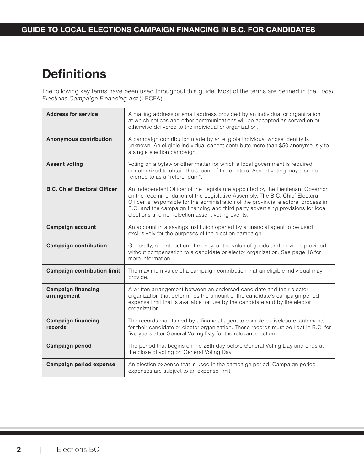# <span id="page-4-0"></span>**Definitions**

The following key terms have been used throughout this guide. Most of the terms are defined in the Local Elections Campaign Financing Act (LECFA).

| <b>Address for service</b>               | A mailing address or email address provided by an individual or organization<br>at which notices and other communications will be accepted as served on or<br>otherwise delivered to the individual or organization.                                                                                                                                                                          |
|------------------------------------------|-----------------------------------------------------------------------------------------------------------------------------------------------------------------------------------------------------------------------------------------------------------------------------------------------------------------------------------------------------------------------------------------------|
| <b>Anonymous contribution</b>            | A campaign contribution made by an eligible individual whose identity is<br>unknown. An eligible individual cannot contribute more than \$50 anonymously to<br>a single election campaign.                                                                                                                                                                                                    |
| <b>Assent voting</b>                     | Voting on a bylaw or other matter for which a local government is required<br>or authorized to obtain the assent of the electors. Assent voting may also be<br>referred to as a "referendum".                                                                                                                                                                                                 |
| <b>B.C. Chief Electoral Officer</b>      | An independent Officer of the Legislature appointed by the Lieutenant Governor<br>on the recommendation of the Legislative Assembly. The B.C. Chief Electoral<br>Officer is responsible for the administration of the provincial electoral process in<br>B.C. and the campaign financing and third party advertising provisions for local<br>elections and non-election assent voting events. |
| <b>Campaign account</b>                  | An account in a savings institution opened by a financial agent to be used<br>exclusively for the purposes of the election campaign.                                                                                                                                                                                                                                                          |
| <b>Campaign contribution</b>             | Generally, a contribution of money, or the value of goods and services provided<br>without compensation to a candidate or elector organization. See page 16 for<br>more information.                                                                                                                                                                                                          |
| <b>Campaign contribution limit</b>       | The maximum value of a campaign contribution that an eligible individual may<br>provide.                                                                                                                                                                                                                                                                                                      |
| <b>Campaign financing</b><br>arrangement | A written arrangement between an endorsed candidate and their elector<br>organization that determines the amount of the candidate's campaign period<br>expense limit that is available for use by the candidate and by the elector<br>organization.                                                                                                                                           |
| <b>Campaign financing</b><br>records     | The records maintained by a financial agent to complete disclosure statements<br>for their candidate or elector organization. These records must be kept in B.C. for<br>five years after General Voting Day for the relevant election.                                                                                                                                                        |
| <b>Campaign period</b>                   | The period that begins on the 28th day before General Voting Day and ends at<br>the close of voting on General Voting Day.                                                                                                                                                                                                                                                                    |
| Campaign period expense                  | An election expense that is used in the campaign period. Campaign period<br>expenses are subject to an expense limit.                                                                                                                                                                                                                                                                         |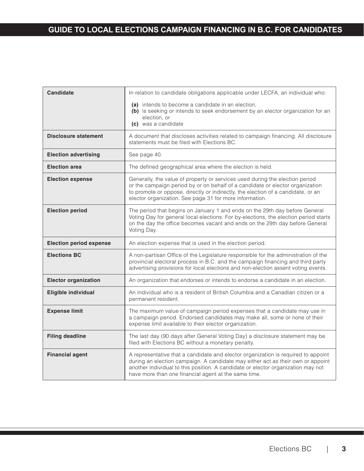| <b>Candidate</b>               | In relation to candidate obligations applicable under LECFA, an individual who:                                                                                                                                                                                                                                  |
|--------------------------------|------------------------------------------------------------------------------------------------------------------------------------------------------------------------------------------------------------------------------------------------------------------------------------------------------------------|
|                                | (a) intends to become a candidate in an election,<br>(b) is seeking or intends to seek endorsement by an elector organization for an<br>election, or<br>(c) was a candidate                                                                                                                                      |
| <b>Disclosure statement</b>    | A document that discloses activities related to campaign financing. All disclosure<br>statements must be filed with Elections BC.                                                                                                                                                                                |
| <b>Election advertising</b>    | See page 40.                                                                                                                                                                                                                                                                                                     |
| <b>Election area</b>           | The defined geographical area where the election is held.                                                                                                                                                                                                                                                        |
| <b>Election expense</b>        | Generally, the value of property or services used during the election period<br>or the campaign period by or on behalf of a candidate or elector organization<br>to promote or oppose, directly or indirectly, the election of a candidate, or an<br>elector organization. See page 31 for more information.     |
| <b>Election period</b>         | The period that begins on January 1 and ends on the 29th day before General<br>Voting Day for general local elections. For by-elections, the election period starts<br>on the day the office becomes vacant and ends on the 29th day before General<br>Voting Day.                                               |
| <b>Election period expense</b> | An election expense that is used in the election period.                                                                                                                                                                                                                                                         |
| <b>Elections BC</b>            | A non-partisan Office of the Legislature responsible for the administration of the<br>provincial electoral process in B.C. and the campaign financing and third party<br>advertising provisions for local elections and non-election assent voting events.                                                       |
| <b>Elector organization</b>    | An organization that endorses or intends to endorse a candidate in an election.                                                                                                                                                                                                                                  |
| Eligible individual            | An individual who is a resident of British Columbia and a Canadian citizen or a<br>permanent resident.                                                                                                                                                                                                           |
| <b>Expense limit</b>           | The maximum value of campaign period expenses that a candidate may use in<br>a campaign period. Endorsed candidates may make all, some or none of their<br>expense limit available to their elector organization.                                                                                                |
| <b>Filing deadline</b>         | The last day (90 days after General Voting Day) a disclosure statement may be<br>filed with Elections BC without a monetary penalty.                                                                                                                                                                             |
| <b>Financial agent</b>         | A representative that a candidate and elector organization is required to appoint<br>during an election campaign. A candidate may either act as their own or appoint<br>another individual to this position. A candidate or elector organization may not<br>have more than one financial agent at the same time. |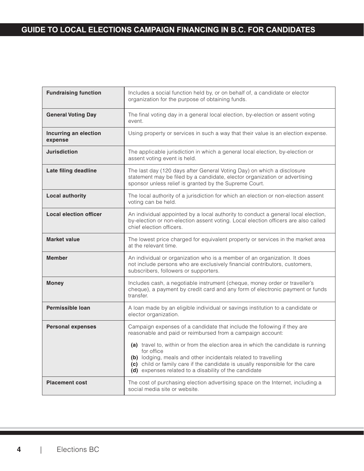| <b>Fundraising function</b>      | Includes a social function held by, or on behalf of, a candidate or elector<br>organization for the purpose of obtaining funds.                                                                                                                                                                             |
|----------------------------------|-------------------------------------------------------------------------------------------------------------------------------------------------------------------------------------------------------------------------------------------------------------------------------------------------------------|
| <b>General Voting Day</b>        | The final voting day in a general local election, by-election or assent voting<br>event.                                                                                                                                                                                                                    |
| Incurring an election<br>expense | Using property or services in such a way that their value is an election expense.                                                                                                                                                                                                                           |
| <b>Jurisdiction</b>              | The applicable jurisdiction in which a general local election, by-election or<br>assent voting event is held.                                                                                                                                                                                               |
| Late filing deadline             | The last day (120 days after General Voting Day) on which a disclosure<br>statement may be filed by a candidate, elector organization or advertising<br>sponsor unless relief is granted by the Supreme Court.                                                                                              |
| <b>Local authority</b>           | The local authority of a jurisdiction for which an election or non-election assent<br>voting can be held.                                                                                                                                                                                                   |
| <b>Local election officer</b>    | An individual appointed by a local authority to conduct a general local election,<br>by-election or non-election assent voting. Local election officers are also called<br>chief election officers.                                                                                                         |
| <b>Market value</b>              | The lowest price charged for equivalent property or services in the market area<br>at the relevant time.                                                                                                                                                                                                    |
| <b>Member</b>                    | An individual or organization who is a member of an organization. It does<br>not include persons who are exclusively financial contributors, customers,<br>subscribers, followers or supporters.                                                                                                            |
| <b>Money</b>                     | Includes cash, a negotiable instrument (cheque, money order or traveller's<br>cheque), a payment by credit card and any form of electronic payment or funds<br>transfer.                                                                                                                                    |
| <b>Permissible loan</b>          | A loan made by an eligible individual or savings institution to a candidate or<br>elector organization.                                                                                                                                                                                                     |
| <b>Personal expenses</b>         | Campaign expenses of a candidate that include the following if they are<br>reasonable and paid or reimbursed from a campaign account:                                                                                                                                                                       |
|                                  | (a) travel to, within or from the election area in which the candidate is running<br>for office<br>(b) lodging, meals and other incidentals related to travelling<br>(c) child or family care if the candidate is usually responsible for the care<br>(d) expenses related to a disability of the candidate |
| <b>Placement cost</b>            | The cost of purchasing election advertising space on the Internet, including a<br>social media site or website.                                                                                                                                                                                             |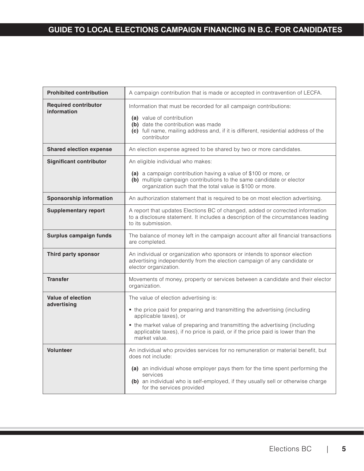| <b>Prohibited contribution</b>             | A campaign contribution that is made or accepted in contravention of LECFA.                                                                                                                                                               |  |  |  |
|--------------------------------------------|-------------------------------------------------------------------------------------------------------------------------------------------------------------------------------------------------------------------------------------------|--|--|--|
| <b>Required contributor</b><br>information | Information that must be recorded for all campaign contributions:<br>(a) value of contribution<br>(b) date the contribution was made<br>(c) full name, mailing address and, if it is different, residential address of the<br>contributor |  |  |  |
| <b>Shared election expense</b>             | An election expense agreed to be shared by two or more candidates.                                                                                                                                                                        |  |  |  |
| <b>Significant contributor</b>             | An eligible individual who makes:<br>(a) a campaign contribution having a value of \$100 or more, or<br>(b) multiple campaign contributions to the same candidate or elector<br>organization such that the total value is \$100 or more.  |  |  |  |
| <b>Sponsorship information</b>             | An authorization statement that is required to be on most election advertising.                                                                                                                                                           |  |  |  |
| <b>Supplementary report</b>                | A report that updates Elections BC of changed, added or corrected information<br>to a disclosure statement. It includes a description of the circumstances leading<br>to its submission.                                                  |  |  |  |
| Surplus campaign funds                     | The balance of money left in the campaign account after all financial transactions<br>are completed.                                                                                                                                      |  |  |  |
| Third party sponsor                        | An individual or organization who sponsors or intends to sponsor election<br>advertising independently from the election campaign of any candidate or<br>elector organization.                                                            |  |  |  |
| <b>Transfer</b>                            | Movements of money, property or services between a candidate and their elector<br>organization.                                                                                                                                           |  |  |  |
| <b>Value of election</b><br>advertising    | The value of election advertising is:                                                                                                                                                                                                     |  |  |  |
|                                            | • the price paid for preparing and transmitting the advertising (including<br>applicable taxes), or                                                                                                                                       |  |  |  |
|                                            | • the market value of preparing and transmitting the advertising (including<br>applicable taxes), if no price is paid, or if the price paid is lower than the<br>market value.                                                            |  |  |  |
| <b>Volunteer</b>                           | An individual who provides services for no remuneration or material benefit, but<br>does not include:                                                                                                                                     |  |  |  |
|                                            | (a) an individual whose employer pays them for the time spent performing the<br>services<br>(b) an individual who is self-employed, if they usually sell or otherwise charge<br>for the services provided                                 |  |  |  |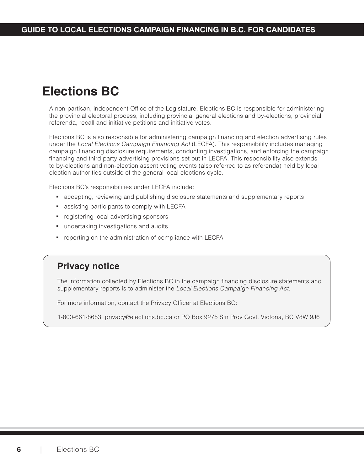# <span id="page-8-0"></span>**Elections BC**

A non-partisan, independent Office of the Legislature, Elections BC is responsible for administering the provincial electoral process, including provincial general elections and by-elections, provincial referenda, recall and initiative petitions and initiative votes.

Elections BC is also responsible for administering campaign financing and election advertising rules under the Local Elections Campaign Financing Act (LECFA). This responsibility includes managing campaign financing disclosure requirements, conducting investigations, and enforcing the campaign financing and third party advertising provisions set out in LECFA. This responsibility also extends to by-elections and non-election assent voting events (also referred to as referenda) held by local election authorities outside of the general local elections cycle.

Elections BC's responsibilities under LECFA include:

- accepting, reviewing and publishing disclosure statements and supplementary reports
- **assisting participants to comply with LECFA**
- **registering local advertising sponsors**
- **undertaking investigations and audits**
- **•** reporting on the administration of compliance with LECFA

## **Privacy notice**

The information collected by Elections BC in the campaign financing disclosure statements and supplementary reports is to administer the Local Elections Campaign Financing Act.

For more information, contact the Privacy Officer at Elections BC:

1-800-661-8683, [privacy@elections.bc.ca](mailto:privacy@elections.bc.ca) or PO Box 9275 Stn Prov Govt, Victoria, BC V8W 9J6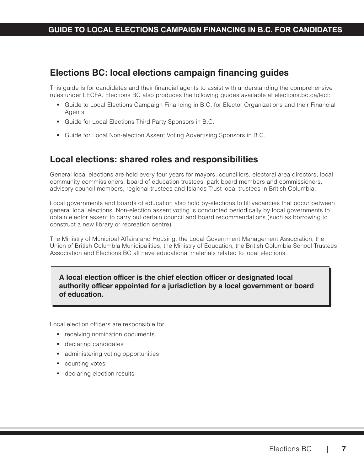# <span id="page-9-0"></span>**Elections BC: local elections campaign financing guides**

This guide is for candidates and their financial agents to assist with understanding the comprehensive rules under LECFA. Elections BC also produces the following guides available at [elections.bc.ca/lecf](http://elections.bc.ca/lecf):

- Guide to Local Elections Campaign Financing in B.C. for Elector Organizations and their Financial Agents
- Guide for Local Elections Third Party Sponsors in B.C.
- Guide for Local Non-election Assent Voting Advertising Sponsors in B.C.

# **Local elections: shared roles and responsibilities**

General local elections are held every four years for mayors, councillors, electoral area directors, local community commissioners, board of education trustees, park board members and commissioners, advisory council members, regional trustees and Islands Trust local trustees in British Columbia.

Local governments and boards of education also hold by-elections to fill vacancies that occur between general local elections. Non-election assent voting is conducted periodically by local governments to obtain elector assent to carry out certain council and board recommendations (such as borrowing to construct a new library or recreation centre).

The Ministry of Municipal Affairs and Housing, the Local Government Management Association, the Union of British Columbia Municipalities, the Ministry of Education, the British Columbia School Trustees Association and Elections BC all have educational materials related to local elections.

## **A local election officer is the chief election officer or designated local authority officer appointed for a jurisdiction by a local government or board of education.**

Local election officers are responsible for:

- **•** receiving nomination documents
- **declaring candidates**
- **administering voting opportunities**
- **counting votes**
- **declaring election results**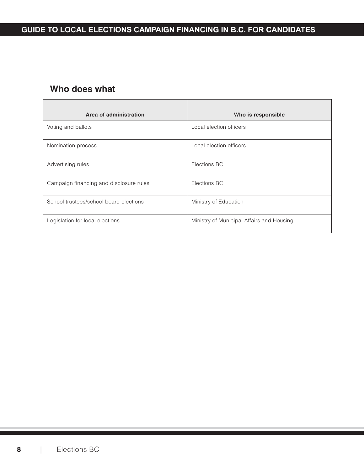# <span id="page-10-0"></span>**Who does what**

| Area of administration                  | Who is responsible                        |
|-----------------------------------------|-------------------------------------------|
| Voting and ballots                      | Local election officers                   |
| Nomination process                      | Local election officers                   |
| Advertising rules                       | Elections BC                              |
| Campaign financing and disclosure rules | Elections BC                              |
| School trustees/school board elections  | Ministry of Education                     |
| Legislation for local elections         | Ministry of Municipal Affairs and Housing |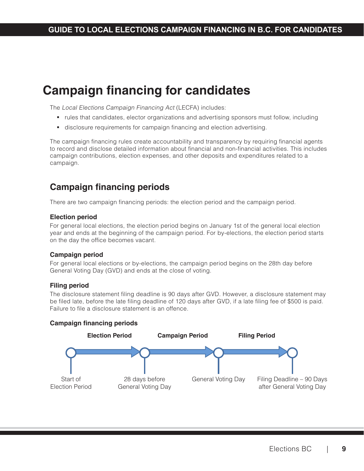# <span id="page-11-0"></span>**Campaign financing for candidates**

The Local Elections Campaign Financing Act (LECFA) includes:

- rules that candidates, elector organizations and advertising sponsors must follow, including
- disclosure requirements for campaign financing and election advertising.

The campaign financing rules create accountability and transparency by requiring financial agents to record and disclose detailed information about financial and non-financial activities. This includes campaign contributions, election expenses, and other deposits and expenditures related to a campaign.

# **Campaign financing periods**

There are two campaign financing periods: the election period and the campaign period.

#### **Election period**

For general local elections, the election period begins on January 1st of the general local election year and ends at the beginning of the campaign period. For by-elections, the election period starts on the day the office becomes vacant.

### **Campaign period**

For general local elections or by-elections, the campaign period begins on the 28th day before General Voting Day (GVD) and ends at the close of voting.

#### **Filing period**

The disclosure statement filing deadline is 90 days after GVD. However, a disclosure statement may be filed late, before the late filing deadline of 120 days after GVD, if a late filing fee of \$500 is paid. Failure to file a disclosure statement is an offence.

### **Campaign financing periods**

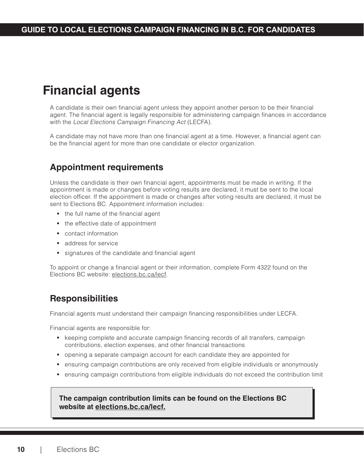# <span id="page-12-0"></span>**Financial agents**

A candidate is their own financial agent unless they appoint another person to be their financial agent. The financial agent is legally responsible for administering campaign finances in accordance with the Local Elections Campaign Financing Act (LECFA).

A candidate may not have more than one financial agent at a time. However, a financial agent can be the financial agent for more than one candidate or elector organization.

# **Appointment requirements**

Unless the candidate is their own financial agent, appointments must be made in writing. If the appointment is made or changes before voting results are declared, it must be sent to the local election officer. If the appointment is made or changes after voting results are declared, it must be sent to Elections BC. Appointment information includes:

- the full name of the financial agent
- the effective date of appointment
- contact information
- **address for service**
- signatures of the candidate and financial agent

To appoint or change a financial agent or their information, complete Form 4322 found on the Elections BC website: [elections.bc.ca/lecf](http://elections.bc.ca/lecf)[.](http://elections.bc.ca/lecf.)

# **Responsibilities**

Financial agents must understand their campaign financing responsibilities under LECFA.

Financial agents are responsible for:

- keeping complete and accurate campaign financing records of all transfers, campaign contributions, election expenses, and other financial transactions
- opening a separate campaign account for each candidate they are appointed for
- ensuring campaign contributions are only received from eligible individuals or anonymously
- ensuring campaign contributions from eligible individuals do not exceed the contribution limit

## **The campaign contribution limits can be found on the Elections BC website at [elections.bc.ca/lecf](http://elections.bc.ca/lecf).**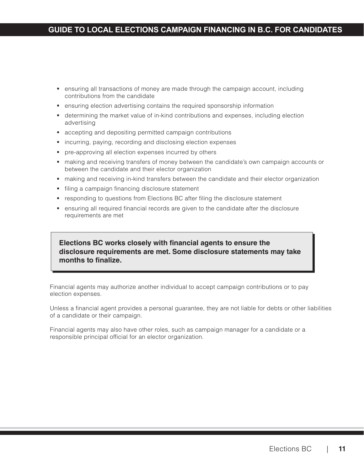- ensuring all transactions of money are made through the campaign account, including contributions from the candidate
- **e** ensuring election advertising contains the required sponsorship information
- determining the market value of in-kind contributions and expenses, including election advertising
- accepting and depositing permitted campaign contributions
- **EXT** incurring, paying, recording and disclosing election expenses
- pre-approving all election expenses incurred by others
- making and receiving transfers of money between the candidate's own campaign accounts or between the candidate and their elector organization
- making and receiving in-kind transfers between the candidate and their elector organization
- **filing a campaign financing disclosure statement**
- **•** responding to questions from Elections BC after filing the disclosure statement
- **e** ensuring all required financial records are given to the candidate after the disclosure requirements are met

## **Elections BC works closely with financial agents to ensure the disclosure requirements are met. Some disclosure statements may take months to finalize.**

Financial agents may authorize another individual to accept campaign contributions or to pay election expenses.

Unless a financial agent provides a personal guarantee, they are not liable for debts or other liabilities of a candidate or their campaign.

Financial agents may also have other roles, such as campaign manager for a candidate or a responsible principal official for an elector organization.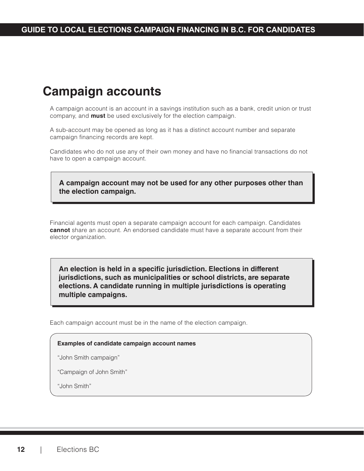# <span id="page-14-0"></span>**Campaign accounts**

A campaign account is an account in a savings institution such as a bank, credit union or trust company, and **must** be used exclusively for the election campaign.

A sub-account may be opened as long as it has a distinct account number and separate campaign financing records are kept.

Candidates who do not use any of their own money and have no financial transactions do not have to open a campaign account.

**A campaign account may not be used for any other purposes other than the election campaign.**

Financial agents must open a separate campaign account for each campaign. Candidates **cannot** share an account. An endorsed candidate must have a separate account from their elector organization.

**An election is held in a specific jurisdiction. Elections in different jurisdictions, such as municipalities or school districts, are separate elections. A candidate running in multiple jurisdictions is operating multiple campaigns.**

Each campaign account must be in the name of the election campaign.

#### **Examples of candidate campaign account names**

"John Smith campaign"

"Campaign of John Smith"

"John Smith"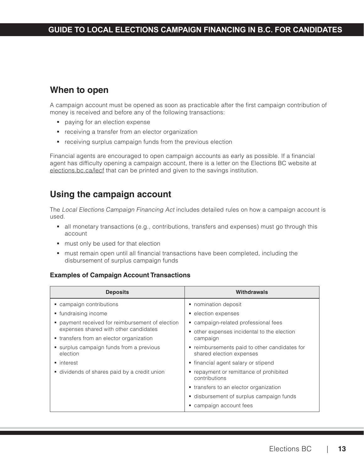# <span id="page-15-0"></span>**When to open**

A campaign account must be opened as soon as practicable after the first campaign contribution of money is received and before any of the following transactions:

- **paying for an election expense**
- **•** receiving a transfer from an elector organization
- receiving surplus campaign funds from the previous election

Financial agents are encouraged to open campaign accounts as early as possible. If a financial agent has difficulty opening a campaign account, there is a letter on the Elections BC website at [elections.bc.ca/lecf](http://elections.bc.ca/lecf) that can be printed and given to the savings institution.

# **Using the campaign account**

The Local Elections Campaign Financing Act includes detailed rules on how a campaign account is used.

- all monetary transactions (e.g., contributions, transfers and expenses) must go through this account
- **must only be used for that election**
- **namust remain open until all financial transactions have been completed, including the** disbursement of surplus campaign funds

## **Examples of Campaign Account Transactions**

| <b>Deposits</b>                                    | Withdrawals                                                               |  |  |  |
|----------------------------------------------------|---------------------------------------------------------------------------|--|--|--|
| campaign contributions                             | • nomination deposit                                                      |  |  |  |
| • fundraising income                               | • election expenses                                                       |  |  |  |
| payment received for reimbursement of election     | • campaign-related professional fees                                      |  |  |  |
| expenses shared with other candidates              | • other expenses incidental to the election<br>campaign                   |  |  |  |
| • transfers from an elector organization           |                                                                           |  |  |  |
| surplus campaign funds from a previous<br>election | • reimbursements paid to other candidates for<br>shared election expenses |  |  |  |
| • interest                                         | • financial agent salary or stipend                                       |  |  |  |
| dividends of shares paid by a credit union         | • repayment or remittance of prohibited<br>contributions                  |  |  |  |
|                                                    | • transfers to an elector organization                                    |  |  |  |
|                                                    | disbursement of surplus campaign funds                                    |  |  |  |
|                                                    | • campaign account fees                                                   |  |  |  |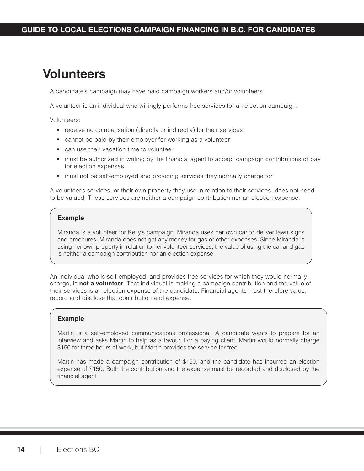# <span id="page-16-0"></span>**Volunteers**

A candidate's campaign may have paid campaign workers and/or volunteers.

A volunteer is an individual who willingly performs free services for an election campaign.

Volunteers:

- **•** receive no compensation (directly or indirectly) for their services
- cannot be paid by their employer for working as a volunteer
- can use their vacation time to volunteer
- **•** must be authorized in writing by the financial agent to accept campaign contributions or pay for election expenses
- must not be self-employed and providing services they normally charge for

A volunteer's services, or their own property they use in relation to their services, does not need to be valued. These services are neither a campaign contribution nor an election expense.

#### **Example**

Miranda is a volunteer for Kelly's campaign. Miranda uses her own car to deliver lawn signs and brochures. Miranda does not get any money for gas or other expenses. Since Miranda is using her own property in relation to her volunteer services, the value of using the car and gas is neither a campaign contribution nor an election expense.

An individual who is self-employed, and provides free services for which they would normally charge, is **not a volunteer**. That individual is making a campaign contribution and the value of their services is an election expense of the candidate. Financial agents must therefore value, record and disclose that contribution and expense.

### **Example**

Martin is a self-employed communications professional. A candidate wants to prepare for an interview and asks Martin to help as a favour. For a paying client, Martin would normally charge \$150 for three hours of work, but Martin provides the service for free.

Martin has made a campaign contribution of \$150, and the candidate has incurred an election expense of \$150. Both the contribution and the expense must be recorded and disclosed by the financial agent.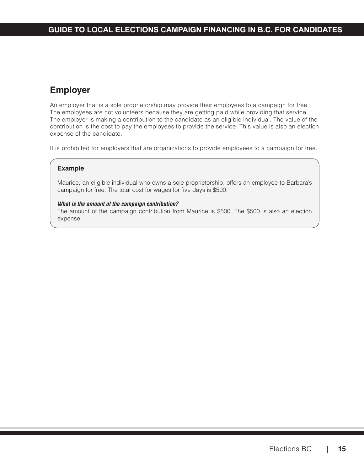# <span id="page-17-0"></span>**Employer**

An employer that is a sole proprietorship may provide their employees to a campaign for free. The employees are not volunteers because they are getting paid while providing that service. The employer is making a contribution to the candidate as an eligible individual. The value of the contribution is the cost to pay the employees to provide the service. This value is also an election expense of the candidate.

It is prohibited for employers that are organizations to provide employees to a campaign for free.

## **Example**

Maurice, an eligible individual who owns a sole proprietorship, offers an employee to Barbara's campaign for free. The total cost for wages for five days is \$500.

#### *What is the amount of the campaign contribution?*

The amount of the campaign contribution from Maurice is \$500. The \$500 is also an election expense.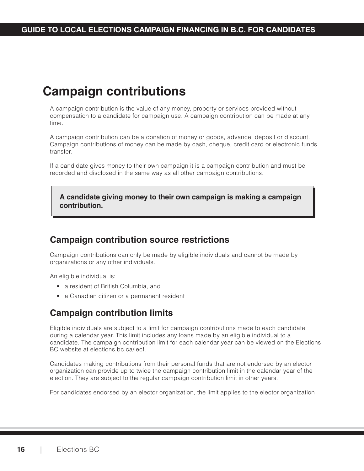# <span id="page-18-0"></span>**Campaign contributions**

A campaign contribution is the value of any money, property or services provided without compensation to a candidate for campaign use. A campaign contribution can be made at any time.

A campaign contribution can be a donation of money or goods, advance, deposit or discount. Campaign contributions of money can be made by cash, cheque, credit card or electronic funds transfer.

If a candidate gives money to their own campaign it is a campaign contribution and must be recorded and disclosed in the same way as all other campaign contributions.

**A candidate giving money to their own campaign is making a campaign contribution.**

# **Campaign contribution source restrictions**

Campaign contributions can only be made by eligible individuals and cannot be made by organizations or any other individuals.

An eligible individual is:

- a resident of British Columbia, and
- a Canadian citizen or a permanent resident

# **Campaign contribution limits**

Eligible individuals are subject to a limit for campaign contributions made to each candidate during a calendar year. This limit includes any loans made by an eligible individual to a candidate. The campaign contribution limit for each calendar year can be viewed on the Elections BC website at [elections.bc.ca/lecf.](http://elections.bc.ca/lecf )

Candidates making contributions from their personal funds that are not endorsed by an elector organization can provide up to twice the campaign contribution limit in the calendar year of the election. They are subject to the regular campaign contribution limit in other years.

For candidates endorsed by an elector organization, the limit applies to the elector organization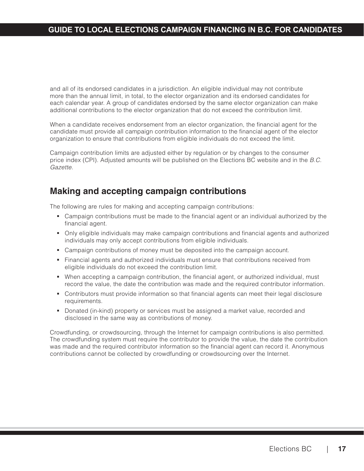<span id="page-19-0"></span>and all of its endorsed candidates in a jurisdiction. An eligible individual may not contribute more than the annual limit, in total, to the elector organization and its endorsed candidates for each calendar year. A group of candidates endorsed by the same elector organization can make additional contributions to the elector organization that do not exceed the contribution limit.

When a candidate receives endorsement from an elector organization, the financial agent for the candidate must provide all campaign contribution information to the financial agent of the elector organization to ensure that contributions from eligible individuals do not exceed the limit.

Campaign contribution limits are adjusted either by regulation or by changes to the consumer price index (CPI). Adjusted amounts will be published on the Elections BC website and in the B.C. Gazette.

# **Making and accepting campaign contributions**

The following are rules for making and accepting campaign contributions:

- Campaign contributions must be made to the financial agent or an individual authorized by the financial agent.
- Only eligible individuals may make campaign contributions and financial agents and authorized individuals may only accept contributions from eligible individuals.
- Campaign contributions of money must be deposited into the campaign account.
- Financial agents and authorized individuals must ensure that contributions received from eligible individuals do not exceed the contribution limit.
- When accepting a campaign contribution, the financial agent, or authorized individual, must record the value, the date the contribution was made and the required contributor information.
- Contributors must provide information so that financial agents can meet their legal disclosure requirements.
- Donated (in-kind) property or services must be assigned a market value, recorded and disclosed in the same way as contributions of money.

Crowdfunding, or crowdsourcing, through the Internet for campaign contributions is also permitted. The crowdfunding system must require the contributor to provide the value, the date the contribution was made and the required contributor information so the financial agent can record it. Anonymous contributions cannot be collected by crowdfunding or crowdsourcing over the Internet.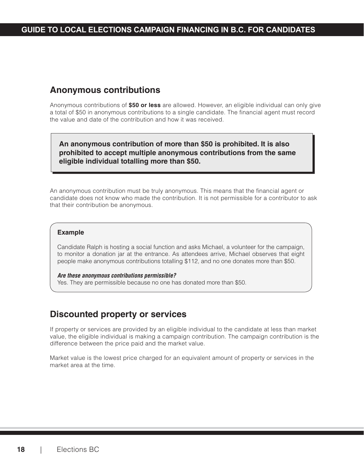# <span id="page-20-0"></span>**Anonymous contributions**

Anonymous contributions of **\$50 or less** are allowed. However, an eligible individual can only give a total of \$50 in anonymous contributions to a single candidate. The financial agent must record the value and date of the contribution and how it was received.

**An anonymous contribution of more than \$50 is prohibited. It is also prohibited to accept multiple anonymous contributions from the same eligible individual totalling more than \$50.**

An anonymous contribution must be truly anonymous. This means that the financial agent or candidate does not know who made the contribution. It is not permissible for a contributor to ask that their contribution be anonymous.

### **Example**

Candidate Ralph is hosting a social function and asks Michael, a volunteer for the campaign, to monitor a donation jar at the entrance. As attendees arrive, Michael observes that eight people make anonymous contributions totalling \$112, and no one donates more than \$50.

## *Are these anonymous contributions permissible?*

Yes. They are permissible because no one has donated more than \$50.

# **Discounted property or services**

If property or services are provided by an eligible individual to the candidate at less than market value, the eligible individual is making a campaign contribution. The campaign contribution is the difference between the price paid and the market value.

Market value is the lowest price charged for an equivalent amount of property or services in the market area at the time.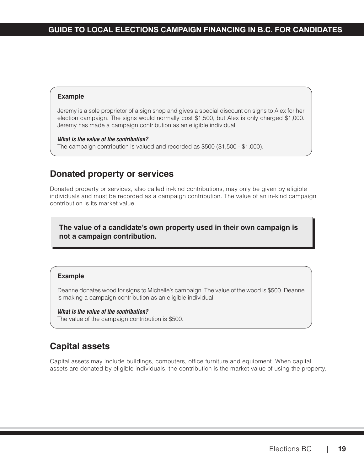<span id="page-21-0"></span>Jeremy is a sole proprietor of a sign shop and gives a special discount on signs to Alex for her election campaign. The signs would normally cost \$1,500, but Alex is only charged \$1,000. Jeremy has made a campaign contribution as an eligible individual.

### *What is the value of the contribution?*

The campaign contribution is valued and recorded as \$500 (\$1,500 - \$1,000).

# **Donated property or services**

Donated property or services, also called in-kind contributions, may only be given by eligible individuals and must be recorded as a campaign contribution. The value of an in-kind campaign contribution is its market value.

**The value of a candidate's own property used in their own campaign is not a campaign contribution.**

## **Example**

Deanne donates wood for signs to Michelle's campaign. The value of the wood is \$500. Deanne is making a campaign contribution as an eligible individual.

### *What is the value of the contribution?*

The value of the campaign contribution is \$500.

# **Capital assets**

Capital assets may include buildings, computers, office furniture and equipment. When capital assets are donated by eligible individuals, the contribution is the market value of using the property.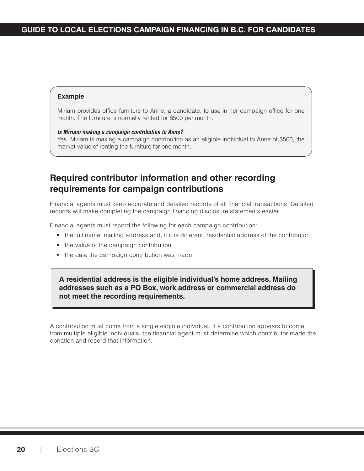<span id="page-22-0"></span>Miriam provides office furniture to Anne, a candidate, to use in her campaign office for one month. The furniture is normally rented for \$500 per month.

#### *Is Miriam making a campaign contribution to Anne?*

Yes. Miriam is making a campaign contribution as an eligible individual to Anne of \$500, the market value of renting the furniture for one month.

# **Required contributor information and other recording requirements for campaign contributions**

Financial agents must keep accurate and detailed records of all financial transactions. Detailed records will make completing the campaign financing disclosure statements easier.

Financial agents must record the following for each campaign contribution:

- the full name, mailing address and, if it is different, residential address of the contributor
- the value of the campaign contribution
- the date the campaign contribution was made

**A residential address is the eligible individual's home address. Mailing addresses such as a PO Box, work address or commercial address do not meet the recording requirements.**

A contribution must come from a single eligible individual. If a contribution appears to come from multiple eligible individuals, the financial agent must determine which contributor made the donation and record that information.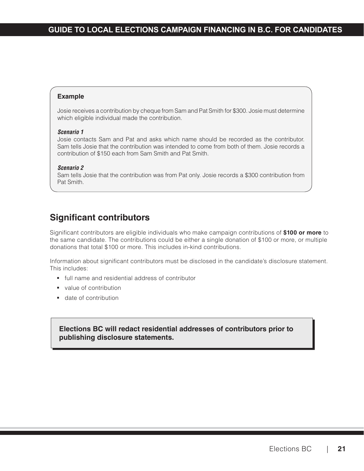<span id="page-23-0"></span>Josie receives a contribution by cheque from Sam and Pat Smith for \$300. Josie must determine which eligible individual made the contribution.

#### *Scenario 1*

Josie contacts Sam and Pat and asks which name should be recorded as the contributor. Sam tells Josie that the contribution was intended to come from both of them. Josie records a contribution of \$150 each from Sam Smith and Pat Smith.

#### *Scenario 2*

Sam tells Josie that the contribution was from Pat only. Josie records a \$300 contribution from Pat Smith.

# **Significant contributors**

Significant contributors are eligible individuals who make campaign contributions of **\$100 or more** to the same candidate. The contributions could be either a single donation of \$100 or more, or multiple donations that total \$100 or more. This includes in-kind contributions.

Information about significant contributors must be disclosed in the candidate's disclosure statement. This includes:

- **full name and residential address of contributor**
- value of contribution
- **date of contribution**

## **Elections BC will redact residential addresses of contributors prior to publishing disclosure statements.**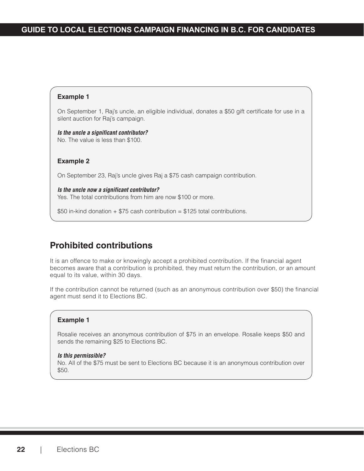<span id="page-24-0"></span>On September 1, Raj's uncle, an eligible individual, donates a \$50 gift certificate for use in a silent auction for Raj's campaign.

*Is the uncle a significant contributor?* No. The value is less than \$100.

#### **Example 2**

On September 23, Raj's uncle gives Raj a \$75 cash campaign contribution.

*Is the uncle now a significant contributor?* Yes. The total contributions from him are now \$100 or more.

\$50 in-kind donation  $+$  \$75 cash contribution = \$125 total contributions.

## **Prohibited contributions**

It is an offence to make or knowingly accept a prohibited contribution. If the financial agent becomes aware that a contribution is prohibited, they must return the contribution, or an amount equal to its value, within 30 days.

If the contribution cannot be returned (such as an anonymous contribution over \$50) the financial agent must send it to Elections BC.

### **Example 1**

Rosalie receives an anonymous contribution of \$75 in an envelope. Rosalie keeps \$50 and sends the remaining \$25 to Elections BC.

#### *Is this permissible?*

No. All of the \$75 must be sent to Elections BC because it is an anonymous contribution over \$50.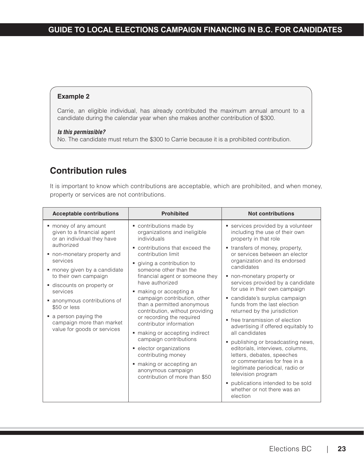<span id="page-25-0"></span>Carrie, an eligible individual, has already contributed the maximum annual amount to a candidate during the calendar year when she makes another contribution of \$300.

### *Is this permissible?*

No. The candidate must return the \$300 to Carrie because it is a prohibited contribution.

# **Contribution rules**

It is important to know which contributions are acceptable, which are prohibited, and when money, property or services are not contributions.

| <b>Acceptable contributions</b>                                                   | <b>Prohibited</b>                                                                                                                                                                                                                                 | <b>Not contributions</b>                                                                                                                                                                                            |  |  |  |
|-----------------------------------------------------------------------------------|---------------------------------------------------------------------------------------------------------------------------------------------------------------------------------------------------------------------------------------------------|---------------------------------------------------------------------------------------------------------------------------------------------------------------------------------------------------------------------|--|--|--|
| money of any amount<br>given to a financial agent<br>or an individual they have   | contributions made by<br>organizations and ineligible<br>individuals                                                                                                                                                                              | services provided by a volunteer<br>including the use of their own<br>property in that role                                                                                                                         |  |  |  |
| authorized<br>• non-monetary property and<br>services                             | • contributions that exceed the<br>contribution limit<br>giving a contribution to                                                                                                                                                                 | • transfers of money, property,<br>or services between an elector<br>organization and its endorsed<br>candidates<br>• non-monetary property or<br>services provided by a candidate<br>for use in their own campaign |  |  |  |
| • money given by a candidate<br>to their own campaign<br>discounts on property or | someone other than the<br>financial agent or someone they<br>have authorized                                                                                                                                                                      |                                                                                                                                                                                                                     |  |  |  |
| services<br>• anonymous contributions of<br>\$50 or less                          | making or accepting a<br>campaign contribution, other<br>than a permitted anonymous<br>contribution, without providing                                                                                                                            | • candidate's surplus campaign<br>funds from the last election<br>returned by the jurisdiction                                                                                                                      |  |  |  |
| • a person paying the<br>campaign more than market<br>value for goods or services | or recording the required<br>contributor information<br>making or accepting indirect<br>campaign contributions<br>• elector organizations<br>contributing money<br>making or accepting an<br>anonymous campaign<br>contribution of more than \$50 | • free transmission of election<br>advertising if offered equitably to<br>all candidates                                                                                                                            |  |  |  |
|                                                                                   |                                                                                                                                                                                                                                                   | • publishing or broadcasting news,<br>editorials, interviews, columns,<br>letters, debates, speeches<br>or commentaries for free in a<br>legitimate periodical, radio or<br>television program                      |  |  |  |
|                                                                                   |                                                                                                                                                                                                                                                   | • publications intended to be sold<br>whether or not there was an<br>election                                                                                                                                       |  |  |  |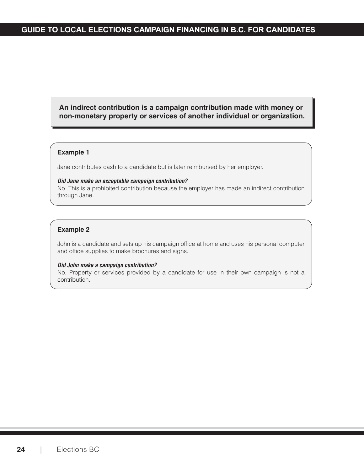## **An indirect contribution is a campaign contribution made with money or non-monetary property or services of another individual or organization.**

### **Example 1**

Jane contributes cash to a candidate but is later reimbursed by her employer.

#### *Did Jane make an acceptable campaign contribution?*

No. This is a prohibited contribution because the employer has made an indirect contribution through Jane.

### **Example 2**

John is a candidate and sets up his campaign office at home and uses his personal computer and office supplies to make brochures and signs.

#### *Did John make a campaign contribution?*

No. Property or services provided by a candidate for use in their own campaign is not a contribution.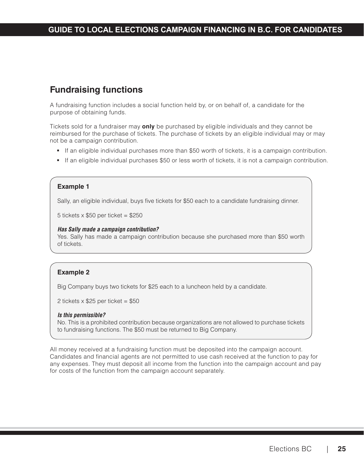# <span id="page-27-0"></span>**Fundraising functions**

A fundraising function includes a social function held by, or on behalf of, a candidate for the purpose of obtaining funds.

Tickets sold for a fundraiser may **only** be purchased by eligible individuals and they cannot be reimbursed for the purchase of tickets. The purchase of tickets by an eligible individual may or may not be a campaign contribution.

- If an eligible individual purchases more than \$50 worth of tickets, it is a campaign contribution.
- If an eligible individual purchases \$50 or less worth of tickets, it is not a campaign contribution.

### **Example 1**

Sally, an eligible individual, buys five tickets for \$50 each to a candidate fundraising dinner.

5 tickets x \$50 per ticket = \$250

#### *Has Sally made a campaign contribution?*

Yes. Sally has made a campaign contribution because she purchased more than \$50 worth of tickets.

## **Example 2**

Big Company buys two tickets for \$25 each to a luncheon held by a candidate.

2 tickets  $\times$  \$25 per ticket = \$50

#### *Is this permissible?*

No. This is a prohibited contribution because organizations are not allowed to purchase tickets to fundraising functions. The \$50 must be returned to Big Company.

All money received at a fundraising function must be deposited into the campaign account. Candidates and financial agents are not permitted to use cash received at the function to pay for any expenses. They must deposit all income from the function into the campaign account and pay for costs of the function from the campaign account separately.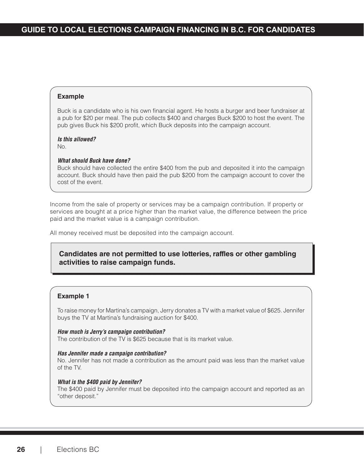Buck is a candidate who is his own financial agent. He hosts a burger and beer fundraiser at a pub for \$20 per meal. The pub collects \$400 and charges Buck \$200 to host the event. The pub gives Buck his \$200 profit, which Buck deposits into the campaign account.

#### *Is this allowed?*

No.

#### *What should Buck have done?*

Buck should have collected the entire \$400 from the pub and deposited it into the campaign account. Buck should have then paid the pub \$200 from the campaign account to cover the cost of the event.

Income from the sale of property or services may be a campaign contribution. If property or services are bought at a price higher than the market value, the difference between the price paid and the market value is a campaign contribution.

All money received must be deposited into the campaign account.

## **Candidates are not permitted to use lotteries, raffles or other gambling activities to raise campaign funds.**

### **Example 1**

To raise money for Martina's campaign, Jerry donates a TV with a market value of \$625. Jennifer buys the TV at Martina's fundraising auction for \$400.

*How much is Jerry's campaign contribution?* The contribution of the TV is \$625 because that is its market value.

#### *Has Jennifer made a campaign contribution?*

No. Jennifer has not made a contribution as the amount paid was less than the market value of the TV.

#### *What is the \$400 paid by Jennifer?*

The \$400 paid by Jennifer must be deposited into the campaign account and reported as an "other deposit."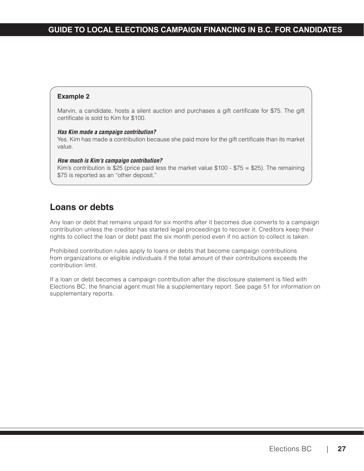<span id="page-29-0"></span>Marvin, a candidate, hosts a silent auction and purchases a gift certificate for \$75. The gift certificate is sold to Kim for \$100.

#### *Has Kim made a campaign contribution?*

Yes. Kim has made a contribution because she paid more for the gift certificate than its market value.

#### *How much is Kim's campaign contribution?*

Kim's contribution is \$25 (price paid less the market value  $$100 - $75 = $25$ ). The remaining \$75 is reported as an "other deposit."

# **Loans or debts**

Any loan or debt that remains unpaid for six months after it becomes due converts to a campaign contribution unless the creditor has started legal proceedings to recover it. Creditors keep their rights to collect the loan or debt past the six month period even if no action to collect is taken.

Prohibited contribution rules apply to loans or debts that become campaign contributions from organizations or eligible individuals if the total amount of their contributions exceeds the contribution limit.

If a loan or debt becomes a campaign contribution after the disclosure statement is filed with Elections BC, the financial agent must file a supplementary report. See page 51 for information on supplementary reports.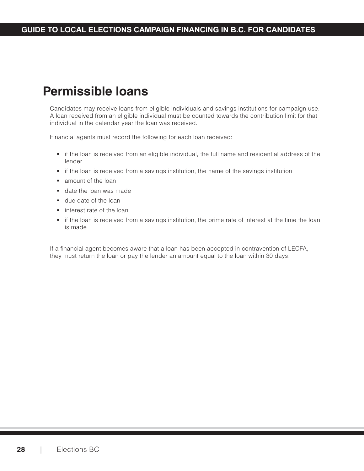# <span id="page-30-0"></span>**Permissible loans**

Candidates may receive loans from eligible individuals and savings institutions for campaign use. A loan received from an eligible individual must be counted towards the contribution limit for that individual in the calendar year the loan was received.

Financial agents must record the following for each loan received:

- if the loan is received from an eligible individual, the full name and residential address of the lender
- **i** if the loan is received from a savings institution, the name of the savings institution
- **amount of the loan**
- **date the loan was made**
- **due date of the loan**
- **interest rate of the loan**
- if the loan is received from a savings institution, the prime rate of interest at the time the loan is made

If a financial agent becomes aware that a loan has been accepted in contravention of LECFA, they must return the loan or pay the lender an amount equal to the loan within 30 days.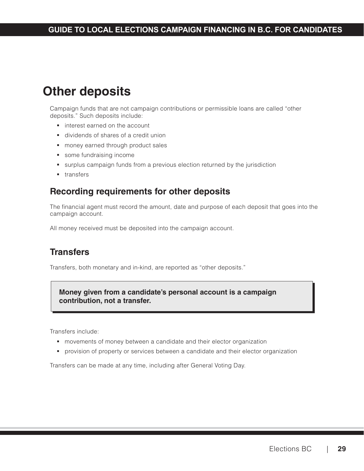# <span id="page-31-0"></span>**Other deposits**

Campaign funds that are not campaign contributions or permissible loans are called "other deposits." Such deposits include:

- **interest earned on the account**
- dividends of shares of a credit union
- **money earned through product sales**
- some fundraising income
- surplus campaign funds from a previous election returned by the jurisdiction
- **transfers**

# **Recording requirements for other deposits**

The financial agent must record the amount, date and purpose of each deposit that goes into the campaign account.

All money received must be deposited into the campaign account.

# **Transfers**

Transfers, both monetary and in-kind, are reported as "other deposits."

**Money given from a candidate's personal account is a campaign contribution, not a transfer.**

Transfers include:

- movements of money between a candidate and their elector organization
- **•** provision of property or services between a candidate and their elector organization

Transfers can be made at any time, including after General Voting Day.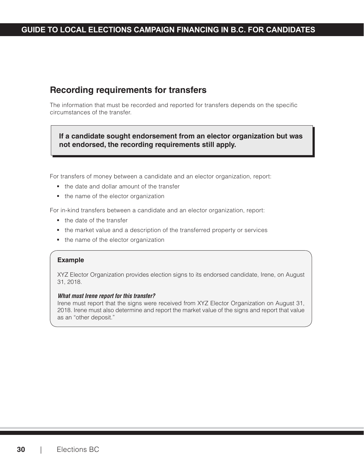# <span id="page-32-0"></span>**Recording requirements for transfers**

The information that must be recorded and reported for transfers depends on the specific circumstances of the transfer.

**If a candidate sought endorsement from an elector organization but was not endorsed, the recording requirements still apply.**

For transfers of money between a candidate and an elector organization, report:

- the date and dollar amount of the transfer
- the name of the elector organization

For in-kind transfers between a candidate and an elector organization, report:

- the date of the transfer
- the market value and a description of the transferred property or services
- the name of the elector organization

#### **Example**

XYZ Elector Organization provides election signs to its endorsed candidate, Irene, on August 31, 2018.

#### *What must Irene report for this transfer?*

Irene must report that the signs were received from XYZ Elector Organization on August 31, 2018. Irene must also determine and report the market value of the signs and report that value as an "other deposit."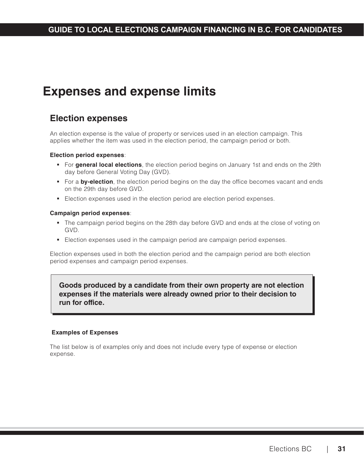# <span id="page-33-0"></span>**Expenses and expense limits**

# **Election expenses**

An election expense is the value of property or services used in an election campaign. This applies whether the item was used in the election period, the campaign period or both.

### **Election period expenses**:

- For **general local elections**, the election period begins on January 1st and ends on the 29th day before General Voting Day (GVD).
- For a **by-election**, the election period begins on the day the office becomes vacant and ends on the 29th day before GVD.
- Election expenses used in the election period are election period expenses.

### **Campaign period expenses**:

- The campaign period begins on the 28th day before GVD and ends at the close of voting on GVD.
- Election expenses used in the campaign period are campaign period expenses.

Election expenses used in both the election period and the campaign period are both election period expenses and campaign period expenses.

## **Goods produced by a candidate from their own property are not election expenses if the materials were already owned prior to their decision to run for office.**

## **Examples of Expenses**

The list below is of examples only and does not include every type of expense or election expense.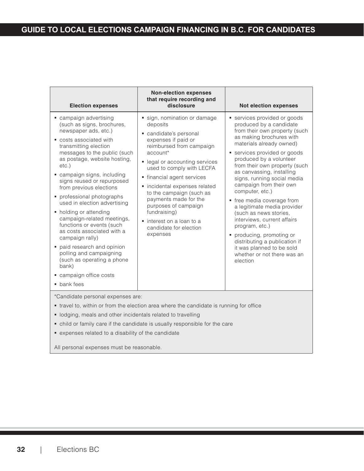| <b>Election expenses</b>                                                                                                                                                                                                                                                                                                                                                                                                                                                                                                                                                                                                                        | <b>Non-election expenses</b><br>that require recording and<br>disclosure                                                                                                                                                                                                                                                                                                                                                    | <b>Not election expenses</b>                                                                                                                                                                                                                                                                                                                                                                                                                                                                                                                                                                                                     |  |  |  |  |  |
|-------------------------------------------------------------------------------------------------------------------------------------------------------------------------------------------------------------------------------------------------------------------------------------------------------------------------------------------------------------------------------------------------------------------------------------------------------------------------------------------------------------------------------------------------------------------------------------------------------------------------------------------------|-----------------------------------------------------------------------------------------------------------------------------------------------------------------------------------------------------------------------------------------------------------------------------------------------------------------------------------------------------------------------------------------------------------------------------|----------------------------------------------------------------------------------------------------------------------------------------------------------------------------------------------------------------------------------------------------------------------------------------------------------------------------------------------------------------------------------------------------------------------------------------------------------------------------------------------------------------------------------------------------------------------------------------------------------------------------------|--|--|--|--|--|
| • campaign advertising<br>(such as signs, brochures,<br>newspaper ads, etc.)<br>costs associated with<br>transmitting election<br>messages to the public (such<br>as postage, website hosting,<br>$etc.$ )<br>• campaign signs, including<br>signs reused or repurposed<br>from previous elections<br>• professional photographs<br>used in election advertising<br>• holding or attending<br>campaign-related meetings,<br>functions or events (such<br>as costs associated with a<br>campaign rally)<br>paid research and opinion<br>polling and campaigning<br>(such as operating a phone<br>bank)<br>• campaign office costs<br>• bank fees | sign, nomination or damage<br>deposits<br>candidate's personal<br>expenses if paid or<br>reimbursed from campaign<br>account*<br>• legal or accounting services<br>used to comply with LECFA<br>• financial agent services<br>• incidental expenses related<br>to the campaign (such as<br>payments made for the<br>purposes of campaign<br>fundraising)<br>• interest on a loan to a<br>candidate for election<br>expenses | services provided or goods<br>produced by a candidate<br>from their own property (such<br>as making brochures with<br>materials already owned)<br>services provided or goods<br>produced by a volunteer<br>from their own property (such<br>as canvassing, installing<br>signs, running social media<br>campaign from their own<br>computer, etc.)<br>• free media coverage from<br>a legitimate media provider<br>(such as news stories,<br>interviews, current affairs<br>program, etc.)<br>• producing, promoting or<br>distributing a publication if<br>it was planned to be sold<br>whether or not there was an<br>election |  |  |  |  |  |
| *Candidate personal expenses are:                                                                                                                                                                                                                                                                                                                                                                                                                                                                                                                                                                                                               |                                                                                                                                                                                                                                                                                                                                                                                                                             |                                                                                                                                                                                                                                                                                                                                                                                                                                                                                                                                                                                                                                  |  |  |  |  |  |

- travel to, within or from the election area where the candidate is running for office
- lodging, meals and other incidentals related to travelling
- child or family care if the candidate is usually responsible for the care
- expenses related to a disability of the candidate

All personal expenses must be reasonable.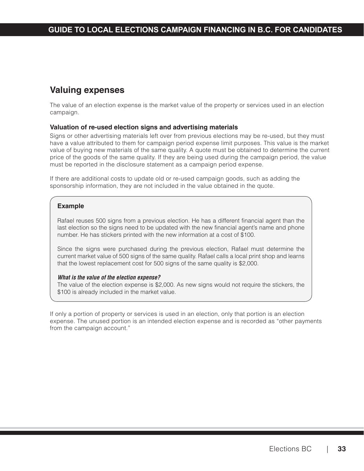# <span id="page-35-0"></span>**Valuing expenses**

The value of an election expense is the market value of the property or services used in an election campaign.

### **Valuation of re-used election signs and advertising materials**

Signs or other advertising materials left over from previous elections may be re-used, but they must have a value attributed to them for campaign period expense limit purposes. This value is the market value of buying new materials of the same quality. A quote must be obtained to determine the current price of the goods of the same quality. If they are being used during the campaign period, the value must be reported in the disclosure statement as a campaign period expense.

If there are additional costs to update old or re-used campaign goods, such as adding the sponsorship information, they are not included in the value obtained in the quote.

### **Example**

Rafael reuses 500 signs from a previous election. He has a different financial agent than the last election so the signs need to be updated with the new financial agent's name and phone number. He has stickers printed with the new information at a cost of \$100.

Since the signs were purchased during the previous election, Rafael must determine the current market value of 500 signs of the same quality. Rafael calls a local print shop and learns that the lowest replacement cost for 500 signs of the same quality is \$2,000.

#### *What is the value of the election expense?*

The value of the election expense is \$2,000. As new signs would not require the stickers, the \$100 is already included in the market value.

If only a portion of property or services is used in an election, only that portion is an election expense. The unused portion is an intended election expense and is recorded as "other payments from the campaign account."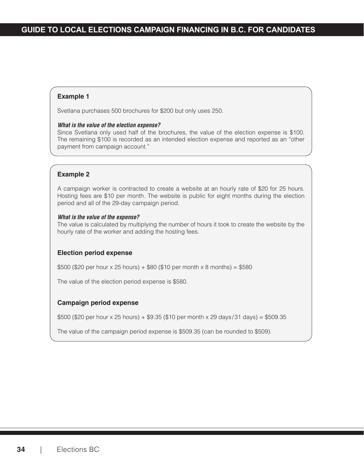#### **Example 1**

Svetlana purchases 500 brochures for \$200 but only uses 250.

#### *What is the value of the election expense?*

Since Svetlana only used half of the brochures, the value of the election expense is \$100. The remaining \$100 is recorded as an intended election expense and reported as an "other payment from campaign account."

#### **Example 2**

A campaign worker is contracted to create a website at an hourly rate of \$20 for 25 hours. Hosting fees are \$10 per month. The website is public for eight months during the election period and all of the 29-day campaign period.

#### *What is the value of the expense?*

The value is calculated by multiplying the number of hours it took to create the website by the hourly rate of the worker and adding the hosting fees.

#### **Election period expense**

\$500 (\$20 per hour x 25 hours) + \$80 (\$10 per month x 8 months) = \$580

The value of the election period expense is \$580.

#### **Campaign period expense**

\$500 (\$20 per hour x 25 hours) + \$9.35 (\$10 per month x 29 days /31 days) = \$509.35

The value of the campaign period expense is \$509.35 (can be rounded to \$509).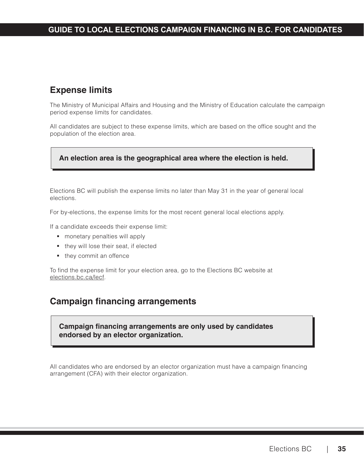## **Expense limits**

The Ministry of Municipal Affairs and Housing and the Ministry of Education calculate the campaign period expense limits for candidates.

All candidates are subject to these expense limits, which are based on the office sought and the population of the election area.

#### **An election area is the geographical area where the election is held.**

Elections BC will publish the expense limits no later than May 31 in the year of general local elections.

For by-elections, the expense limits for the most recent general local elections apply.

If a candidate exceeds their expense limit:

- monetary penalties will apply
- they will lose their seat, if elected
- they commit an offence

To find the expense limit for your election area, go to the Elections BC website at [elections.bc.ca/lecf.](http://elections.bc.ca/lecf)

### **Campaign financing arrangements**

**Campaign financing arrangements are only used by candidates endorsed by an elector organization.**

All candidates who are endorsed by an elector organization must have a campaign financing arrangement (CFA) with their elector organization.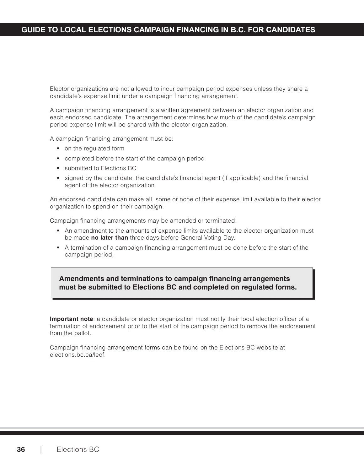### **GUIDE TO LOCAL ELECTIONS CAMPAIGN FINANCING IN B.C. FOR CANDIDATES**

Elector organizations are not allowed to incur campaign period expenses unless they share a candidate's expense limit under a campaign financing arrangement.

A campaign financing arrangement is a written agreement between an elector organization and each endorsed candidate. The arrangement determines how much of the candidate's campaign period expense limit will be shared with the elector organization.

A campaign financing arrangement must be:

- on the regulated form
- completed before the start of the campaign period
- **submitted to Elections BC**
- signed by the candidate, the candidate's financial agent (if applicable) and the financial agent of the elector organization

An endorsed candidate can make all, some or none of their expense limit available to their elector organization to spend on their campaign.

Campaign financing arrangements may be amended or terminated.

- An amendment to the amounts of expense limits available to the elector organization must be made **no later than** three days before General Voting Day.
- A termination of a campaign financing arrangement must be done before the start of the campaign period.

**Amendments and terminations to campaign financing arrangements must be submitted to Elections BC and completed on regulated forms.** 

**Important note**: a candidate or elector organization must notify their local election officer of a termination of endorsement prior to the start of the campaign period to remove the endorsement from the ballot.

Campaign financing arrangement forms can be found on the Elections BC website at [elections.bc.ca/lecf.](http://elections.bc.ca/lecf)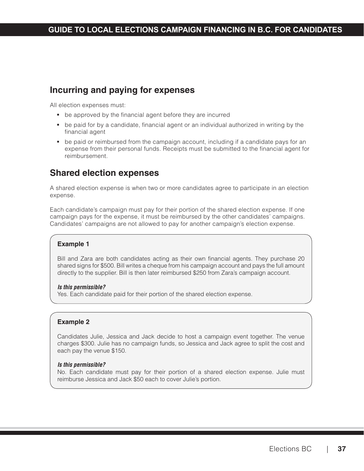## **Incurring and paying for expenses**

All election expenses must:

- be approved by the financial agent before they are incurred
- **be paid for by a candidate, financial agent or an individual authorized in writing by the** financial agent
- be paid or reimbursed from the campaign account, including if a candidate pays for an expense from their personal funds. Receipts must be submitted to the financial agent for reimbursement.

### **Shared election expenses**

A shared election expense is when two or more candidates agree to participate in an election expense.

Each candidate's campaign must pay for their portion of the shared election expense. If one campaign pays for the expense, it must be reimbursed by the other candidates' campaigns. Candidates' campaigns are not allowed to pay for another campaign's election expense.

#### **Example 1**

Bill and Zara are both candidates acting as their own financial agents. They purchase 20 shared signs for \$500. Bill writes a cheque from his campaign account and pays the full amount directly to the supplier. Bill is then later reimbursed \$250 from Zara's campaign account.

#### *Is this permissible?*

Yes. Each candidate paid for their portion of the shared election expense.

#### **Example 2**

Candidates Julie, Jessica and Jack decide to host a campaign event together. The venue charges \$300. Julie has no campaign funds, so Jessica and Jack agree to split the cost and each pay the venue \$150.

#### *Is this permissible?*

No. Each candidate must pay for their portion of a shared election expense. Julie must reimburse Jessica and Jack \$50 each to cover Julie's portion.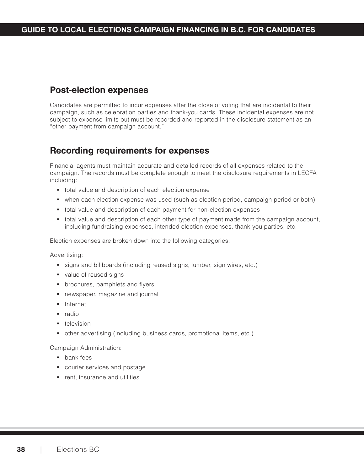### **Post-election expenses**

Candidates are permitted to incur expenses after the close of voting that are incidental to their campaign, such as celebration parties and thank-you cards. These incidental expenses are not subject to expense limits but must be recorded and reported in the disclosure statement as an "other payment from campaign account."

### **Recording requirements for expenses**

Financial agents must maintain accurate and detailed records of all expenses related to the campaign. The records must be complete enough to meet the disclosure requirements in LECFA including:

- total value and description of each election expense
- when each election expense was used (such as election period, campaign period or both)
- total value and description of each payment for non-election expenses
- total value and description of each other type of payment made from the campaign account, including fundraising expenses, intended election expenses, thank-you parties, etc.

Election expenses are broken down into the following categories:

Advertising:

- signs and billboards (including reused signs, lumber, sign wires, etc.)
- value of reused signs
- **•** brochures, pamphlets and flyers
- newspaper, magazine and journal
- **Internet**
- radio
- **television**
- other advertising (including business cards, promotional items, etc.)

Campaign Administration:

- bank fees
- **COUPSER 1** courier services and postage
- **F** rent, insurance and utilities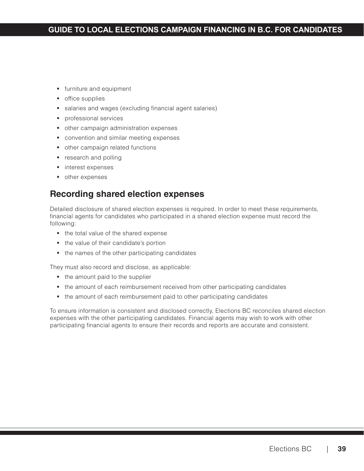### **GUIDE TO LOCAL ELECTIONS CAMPAIGN FINANCING IN B.C. FOR CANDIDATES**

- **furniture and equipment**
- **•** office supplies
- salaries and wages (excluding financial agent salaries)
- **professional services**
- other campaign administration expenses
- **convention and similar meeting expenses**
- other campaign related functions
- **research and polling**
- **n** interest expenses
- other expenses

## **Recording shared election expenses**

Detailed disclosure of shared election expenses is required. In order to meet these requirements, financial agents for candidates who participated in a shared election expense must record the following:

- the total value of the shared expense
- the value of their candidate's portion
- the names of the other participating candidates

They must also record and disclose, as applicable:

- the amount paid to the supplier
- the amount of each reimbursement received from other participating candidates
- the amount of each reimbursement paid to other participating candidates

To ensure information is consistent and disclosed correctly, Elections BC reconciles shared election expenses with the other participating candidates. Financial agents may wish to work with other participating financial agents to ensure their records and reports are accurate and consistent.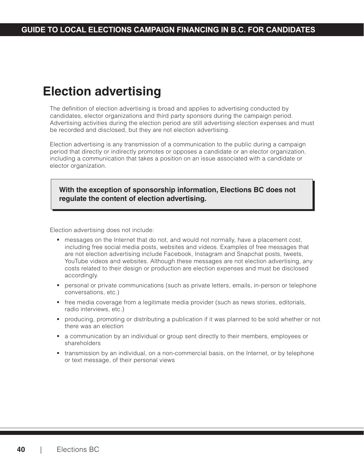## **Election advertising**

The definition of election advertising is broad and applies to advertising conducted by candidates, elector organizations and third party sponsors during the campaign period. Advertising activities during the election period are still advertising election expenses and must be recorded and disclosed, but they are not election advertising.

Election advertising is any transmission of a communication to the public during a campaign period that directly or indirectly promotes or opposes a candidate or an elector organization, including a communication that takes a position on an issue associated with a candidate or elector organization.

**With the exception of sponsorship information, Elections BC does not regulate the content of election advertising.** 

Election advertising does not include:

- messages on the Internet that do not, and would not normally, have a placement cost, including free social media posts, websites and videos. Examples of free messages that are not election advertising include Facebook, Instagram and Snapchat posts, tweets, YouTube videos and websites. Although these messages are not election advertising, any costs related to their design or production are election expenses and must be disclosed accordingly.
- personal or private communications (such as private letters, emails, in-person or telephone conversations, etc.)
- free media coverage from a legitimate media provider (such as news stories, editorials, radio interviews, etc.)
- **•** producing, promoting or distributing a publication if it was planned to be sold whether or not there was an election
- **E** a communication by an individual or group sent directly to their members, employees or shareholders
- transmission by an individual, on a non-commercial basis, on the Internet, or by telephone or text message, of their personal views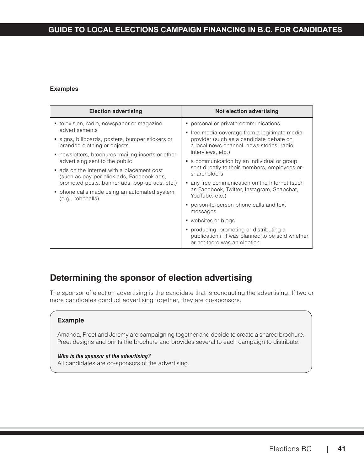### **GUIDE TO LOCAL ELECTIONS CAMPAIGN FINANCING IN B.C. FOR CANDIDATES**

#### **Examples**

| • television, radio, newspaper or magazine<br>personal or private communications<br>advertisements<br>• free media coverage from a legitimate media<br>provider (such as a candidate debate on<br>signs, billboards, posters, bumper stickers or<br>branded clothing or objects<br>a local news channel, news stories, radio<br>interviews, etc.)<br>• newsletters, brochures, mailing inserts or other<br>advertising sent to the public<br>• a communication by an individual or group<br>sent directly to their members, employees or<br>ads on the Internet with a placement cost<br>shareholders<br>(such as pay-per-click ads, Facebook ads,<br>promoted posts, banner ads, pop-up ads, etc.)<br>• any free communication on the Internet (such<br>as Facebook, Twitter, Instagram, Snapchat,<br>• phone calls made using an automated system<br>YouTube, etc.)<br>(e.g., robo calls)<br>person-to-person phone calls and text<br>messages<br>• websites or blogs |
|-------------------------------------------------------------------------------------------------------------------------------------------------------------------------------------------------------------------------------------------------------------------------------------------------------------------------------------------------------------------------------------------------------------------------------------------------------------------------------------------------------------------------------------------------------------------------------------------------------------------------------------------------------------------------------------------------------------------------------------------------------------------------------------------------------------------------------------------------------------------------------------------------------------------------------------------------------------------------|
| • producing, promoting or distributing a<br>publication if it was planned to be sold whether<br>or not there was an election                                                                                                                                                                                                                                                                                                                                                                                                                                                                                                                                                                                                                                                                                                                                                                                                                                            |

## **Determining the sponsor of election advertising**

The sponsor of election advertising is the candidate that is conducting the advertising. If two or more candidates conduct advertising together, they are co-sponsors.

#### **Example**

Amanda, Preet and Jeremy are campaigning together and decide to create a shared brochure. Preet designs and prints the brochure and provides several to each campaign to distribute.

#### *Who is the sponsor of the advertising?*

All candidates are co-sponsors of the advertising.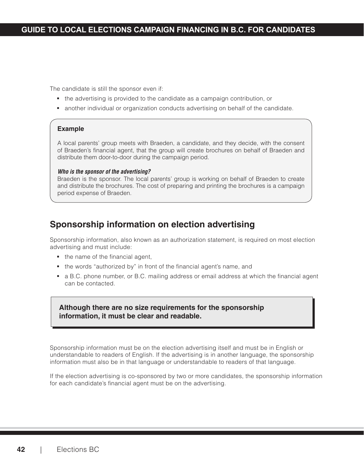The candidate is still the sponsor even if:

- the advertising is provided to the candidate as a campaign contribution, or
- another individual or organization conducts advertising on behalf of the candidate.

#### **Example**

A local parents' group meets with Braeden, a candidate, and they decide, with the consent of Braeden's financial agent, that the group will create brochures on behalf of Braeden and distribute them door-to-door during the campaign period.

#### *Who is the sponsor of the advertising?*

Braeden is the sponsor. The local parents' group is working on behalf of Braeden to create and distribute the brochures. The cost of preparing and printing the brochures is a campaign period expense of Braeden.

### **Sponsorship information on election advertising**

Sponsorship information, also known as an authorization statement, is required on most election advertising and must include:

- the name of the financial agent,
- the words "authorized by" in front of the financial agent's name, and
- a B.C. phone number, or B.C. mailing address or email address at which the financial agent can be contacted.

**Although there are no size requirements for the sponsorship information, it must be clear and readable.**

Sponsorship information must be on the election advertising itself and must be in English or understandable to readers of English. If the advertising is in another language, the sponsorship information must also be in that language or understandable to readers of that language.

If the election advertising is co-sponsored by two or more candidates, the sponsorship information for each candidate's financial agent must be on the advertising.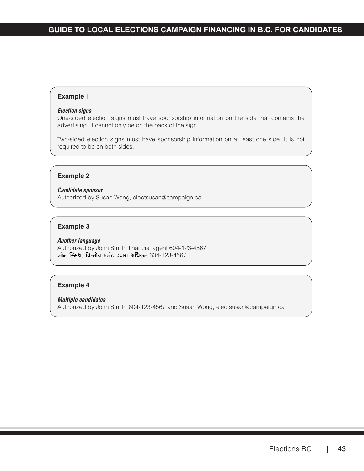#### **Example 1**

#### *Election signs*

One-sided election signs must have sponsorship information on the side that contains the advertising. It cannot only be on the back of the sign.

Two-sided election signs must have sponsorship information on at least one side. It is not required to be on both sides.

#### **Example 2**

*Candidate sponsor* Authorized by Susan Wong, [electsusan@campaign.ca](mailto:electsusan@campaign.ca)

#### **Example 3**

#### *Another language*

Authorized by John Smith, financial agent 604-123-4567 जॉन स्मिथ, वित्तीय एजेंट दवारा अधिकृत 604-123-4567

#### **Example 4**

#### *Multiple candidates*

Authorized by John Smith, 604-123-4567 and Susan Wong, [electsusan@campaign.ca](mailto:electsusan@campaign.ca)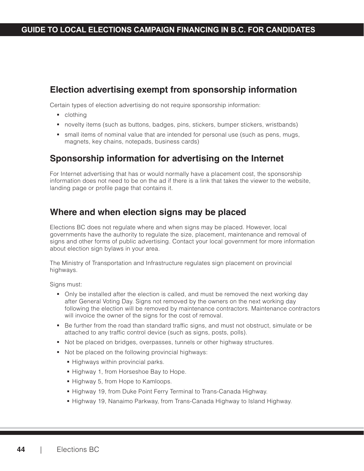## **Election advertising exempt from sponsorship information**

Certain types of election advertising do not require sponsorship information:

- **clothing**
- novelty items (such as buttons, badges, pins, stickers, bumper stickers, wristbands)
- small items of nominal value that are intended for personal use (such as pens, mugs, magnets, key chains, notepads, business cards)

### **Sponsorship information for advertising on the Internet**

For Internet advertising that has or would normally have a placement cost, the sponsorship information does not need to be on the ad if there is a link that takes the viewer to the website, landing page or profile page that contains it.

### **Where and when election signs may be placed**

Elections BC does not regulate where and when signs may be placed. However, local governments have the authority to regulate the size, placement, maintenance and removal of signs and other forms of public advertising. Contact your local government for more information about election sign bylaws in your area.

The Ministry of Transportation and Infrastructure regulates sign placement on provincial highways.

Signs must:

- Only be installed after the election is called, and must be removed the next working day after General Voting Day. Signs not removed by the owners on the next working day following the election will be removed by maintenance contractors. Maintenance contractors will invoice the owner of the signs for the cost of removal.
- Be further from the road than standard traffic signs, and must not obstruct, simulate or be attached to any traffic control device (such as signs, posts, polls).
- Not be placed on bridges, overpasses, tunnels or other highway structures.
- Not be placed on the following provincial highways:
	- **Highways within provincial parks.**
	- Highway 1, from Horseshoe Bay to Hope.
	- Highway 5, from Hope to Kamloops.
	- Highway 19, from Duke Point Ferry Terminal to Trans-Canada Highway.
	- Highway 19, Nanaimo Parkway, from Trans-Canada Highway to Island Highway.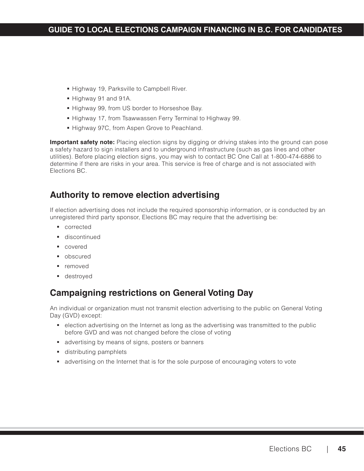- **Highway 19, Parksville to Campbell River.**
- Highway 91 and 91A.
- **Highway 99, from US border to Horseshoe Bay.**
- Highway 17, from Tsawwassen Ferry Terminal to Highway 99.
- **Highway 97C, from Aspen Grove to Peachland.**

**Important safety note:** Placing election signs by digging or driving stakes into the ground can pose a safety hazard to sign installers and to underground infrastructure (such as gas lines and other utilities). Before placing election signs, you may wish to contact BC One Call at 1-800-474-6886 to determine if there are risks in your area. This service is free of charge and is not associated with Elections BC.

### **Authority to remove election advertising**

If election advertising does not include the required sponsorship information, or is conducted by an unregistered third party sponsor, Elections BC may require that the advertising be:

- **corrected**
- **discontinued**
- covered
- **•** obscured
- **•** removed
- destroyed

## **Campaigning restrictions on General Voting Day**

An individual or organization must not transmit election advertising to the public on General Voting Day (GVD) except:

- **e** election advertising on the Internet as long as the advertising was transmitted to the public before GVD and was not changed before the close of voting
- **advertising by means of signs, posters or banners**
- **distributing pamphlets**
- **a** advertising on the Internet that is for the sole purpose of encouraging voters to vote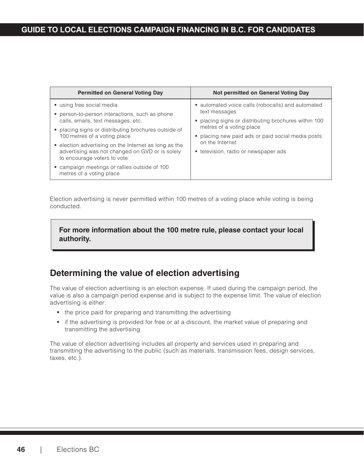| <b>Permitted on General Voting Day</b>                                                                   | Not permitted on General Voting Day                                              |
|----------------------------------------------------------------------------------------------------------|----------------------------------------------------------------------------------|
| using free social media<br>person-to-person interactions, such as phone                                  | • automated voice calls (robocalls) and automated<br>text messages               |
| calls, emails, text messages, etc.                                                                       | • placing signs or distributing brochures within 100<br>metres of a voting place |
| placing signs or distributing brochures outside of<br>100 metres of a voting place                       | • placing new paid ads or paid social media posts                                |
| • election advertising on the Internet as long as the<br>advertising was not changed on GVD or is solely | on the Internet<br>• television, radio or newspaper ads                          |
| to encourage voters to vote<br>campaign meetings or rallies outside of 100                               |                                                                                  |
| metres of a voting place                                                                                 |                                                                                  |

Election advertising is never permitted within 100 metres of a voting place while voting is being conducted.

#### **For more information about the 100 metre rule, please contact your local authority.**

## **Determining the value of election advertising**

The value of election advertising is an election expense. If used during the campaign period, the value is also a campaign period expense and is subject to the expense limit. The value of election advertising is either:

- the price paid for preparing and transmitting the advertising
- if the advertising is provided for free or at a discount, the market value of preparing and transmitting the advertising

The value of election advertising includes all property and services used in preparing and transmitting the advertising to the public (such as materials, transmission fees, design services, taxes, etc.).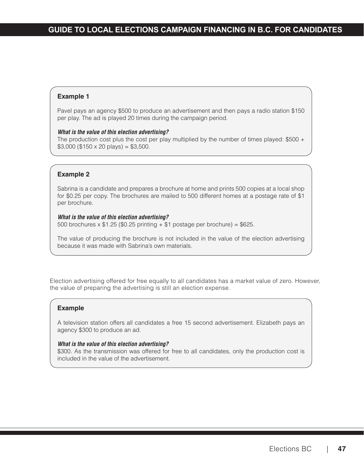#### **Example 1**

Pavel pays an agency \$500 to produce an advertisement and then pays a radio station \$150 per play. The ad is played 20 times during the campaign period.

#### *What is the value of this election advertising?*

The production cost plus the cost per play multiplied by the number of times played:  $$500 +$  $$3,000$  (\$150 x 20 plays) = \$3,500.

#### **Example 2**

Sabrina is a candidate and prepares a brochure at home and prints 500 copies at a local shop for \$0.25 per copy. The brochures are mailed to 500 different homes at a postage rate of \$1 per brochure.

#### *What is the value of this election advertising?*

500 brochures  $x$  \$1.25 (\$0.25 printing  $+$  \$1 postage per brochure) = \$625.

The value of producing the brochure is not included in the value of the election advertising because it was made with Sabrina's own materials.

Election advertising offered for free equally to all candidates has a market value of zero. However, the value of preparing the advertising is still an election expense.

#### **Example**

A television station offers all candidates a free 15 second advertisement. Elizabeth pays an agency \$300 to produce an ad.

#### *What is the value of this election advertising?*

\$300. As the transmission was offered for free to all candidates, only the production cost is included in the value of the advertisement.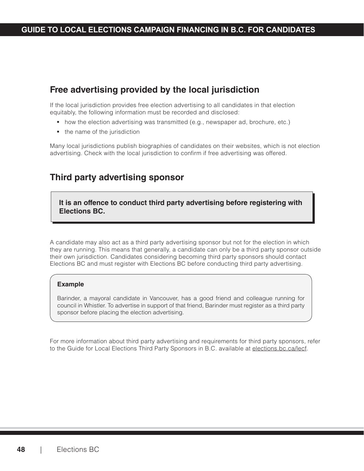## **Free advertising provided by the local jurisdiction**

If the local jurisdiction provides free election advertising to all candidates in that election equitably, the following information must be recorded and disclosed:

- how the election advertising was transmitted (e.g., newspaper ad, brochure, etc.)
- the name of the jurisdiction

Many local jurisdictions publish biographies of candidates on their websites, which is not election advertising. Check with the local jurisdiction to confirm if free advertising was offered.

## **Third party advertising sponsor**

**It is an offence to conduct third party advertising before registering with Elections BC.** 

A candidate may also act as a third party advertising sponsor but not for the election in which they are running. This means that generally, a candidate can only be a third party sponsor outside their own jurisdiction. Candidates considering becoming third party sponsors should contact Elections BC and must register with Elections BC before conducting third party advertising.

#### **Example**

Barinder, a mayoral candidate in Vancouver, has a good friend and colleague running for council in Whistler. To advertise in support of that friend, Barinder must register as a third party sponsor before placing the election advertising.

For more information about third party advertising and requirements for third party sponsors, refer to the Guide for Local Elections Third Party Sponsors in B.C. available at [elections.bc.ca/lecf](http://elections.bc.ca/lecf)[.](http://elections.bc.ca/lecf.)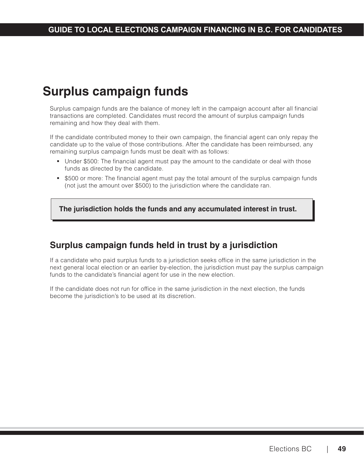## **Surplus campaign funds**

Surplus campaign funds are the balance of money left in the campaign account after all financial transactions are completed. Candidates must record the amount of surplus campaign funds remaining and how they deal with them.

If the candidate contributed money to their own campaign, the financial agent can only repay the candidate up to the value of those contributions. After the candidate has been reimbursed, any remaining surplus campaign funds must be dealt with as follows:

- Under \$500: The financial agent must pay the amount to the candidate or deal with those funds as directed by the candidate.
- \$500 or more: The financial agent must pay the total amount of the surplus campaign funds (not just the amount over \$500) to the jurisdiction where the candidate ran.

**The jurisdiction holds the funds and any accumulated interest in trust.**

## **Surplus campaign funds held in trust by a jurisdiction**

If a candidate who paid surplus funds to a jurisdiction seeks office in the same jurisdiction in the next general local election or an earlier by-election, the jurisdiction must pay the surplus campaign funds to the candidate's financial agent for use in the new election.

If the candidate does not run for office in the same jurisdiction in the next election, the funds become the jurisdiction's to be used at its discretion.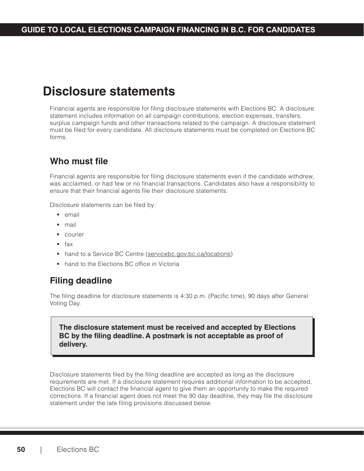## **Disclosure statements**

Financial agents are responsible for filing disclosure statements with Elections BC. A disclosure statement includes information on all campaign contributions, election expenses, transfers, surplus campaign funds and other transactions related to the campaign. A disclosure statement must be filed for every candidate. All disclosure statements must be completed on Elections BC forms.

## **Who must file**

Financial agents are responsible for filing disclosure statements even if the candidate withdrew, was acclaimed, or had few or no financial transactions. Candidates also have a responsibility to ensure that their financial agents file their disclosure statements.

Disclosure statements can be filed by:

- **email**
- mail
- **Courier**
- $fax$
- hand to a Service BC Centre ([servicebc.gov.bc.ca/locations](http://servicebc.gov.bc.ca/locations))
- **hand to the Elections BC office in Victoria**

## **Filing deadline**

The filing deadline for disclosure statements is 4:30 p.m. (Pacific time), 90 days after General Voting Day.

#### **The disclosure statement must be received and accepted by Elections BC by the filing deadline. A postmark is not acceptable as proof of delivery.**

Disclosure statements filed by the filing deadline are accepted as long as the disclosure requirements are met. If a disclosure statement requires additional information to be accepted, Elections BC will contact the financial agent to give them an opportunity to make the required corrections. If a financial agent does not meet the 90 day deadline, they may file the disclosure statement under the late filing provisions discussed below.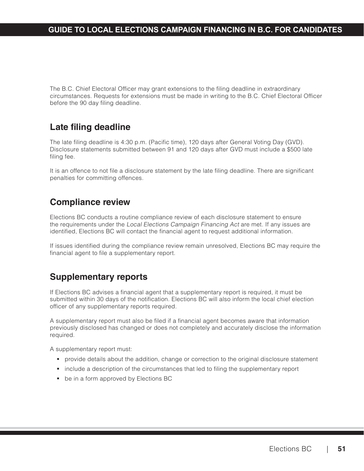The B.C. Chief Electoral Officer may grant extensions to the filing deadline in extraordinary circumstances. Requests for extensions must be made in writing to the B.C. Chief Electoral Officer before the 90 day filing deadline.

## **Late filing deadline**

The late filing deadline is 4:30 p.m. (Pacific time), 120 days after General Voting Day (GVD). Disclosure statements submitted between 91 and 120 days after GVD must include a \$500 late filing fee.

It is an offence to not file a disclosure statement by the late filing deadline. There are significant penalties for committing offences.

## **Compliance review**

Elections BC conducts a routine compliance review of each disclosure statement to ensure the requirements under the Local Elections Campaign Financing Act are met. If any issues are identified, Elections BC will contact the financial agent to request additional information.

If issues identified during the compliance review remain unresolved, Elections BC may require the financial agent to file a supplementary report.

## **Supplementary reports**

If Elections BC advises a financial agent that a supplementary report is required, it must be submitted within 30 days of the notification. Elections BC will also inform the local chief election officer of any supplementary reports required.

A supplementary report must also be filed if a financial agent becomes aware that information previously disclosed has changed or does not completely and accurately disclose the information required.

A supplementary report must:

- **Perovide details about the addition, change or correction to the original disclosure statement**
- include a description of the circumstances that led to filing the supplementary report
- **•** be in a form approved by Elections BC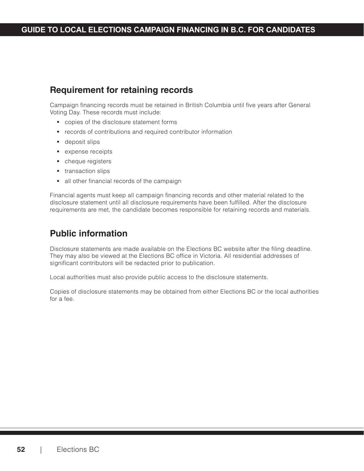### **GUIDE TO LOCAL ELECTIONS CAMPAIGN FINANCING IN B.C. FOR CANDIDATES**

## **Requirement for retaining records**

Campaign financing records must be retained in British Columbia until five years after General Voting Day. These records must include:

- copies of the disclosure statement forms
- **•** records of contributions and required contributor information
- **deposit slips**
- **expense receipts**
- cheque registers
- **transaction slips**
- all other financial records of the campaign

Financial agents must keep all campaign financing records and other material related to the disclosure statement until all disclosure requirements have been fulfilled. After the disclosure requirements are met, the candidate becomes responsible for retaining records and materials.

## **Public information**

Disclosure statements are made available on the Elections BC website after the filing deadline. They may also be viewed at the Elections BC office in Victoria. All residential addresses of significant contributors will be redacted prior to publication.

Local authorities must also provide public access to the disclosure statements.

Copies of disclosure statements may be obtained from either Elections BC or the local authorities for a fee.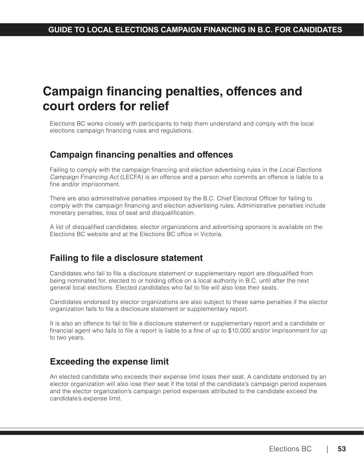## **Campaign financing penalties, offences and court orders for relief**

Elections BC works closely with participants to help them understand and comply with the local elections campaign financing rules and regulations.

## **Campaign financing penalties and offences**

Failing to comply with the campaign financing and election advertising rules in the Local Elections Campaign Financing Act (LECFA) is an offence and a person who commits an offence is liable to a fine and/or imprisonment.

There are also administrative penalties imposed by the B.C. Chief Electoral Officer for failing to comply with the campaign financing and election advertising rules. Administrative penalties include monetary penalties, loss of seat and disqualification.

A list of disqualified candidates, elector organizations and advertising sponsors is available on the Elections BC website and at the Elections BC office in Victoria.

## **Failing to file a disclosure statement**

Candidates who fail to file a disclosure statement or supplementary report are disqualified from being nominated for, elected to or holding office on a local authority in B.C. until after the next general local elections. Elected candidates who fail to file will also lose their seats.

Candidates endorsed by elector organizations are also subject to these same penalties if the elector organization fails to file a disclosure statement or supplementary report.

It is also an offence to fail to file a disclosure statement or supplementary report and a candidate or financial agent who fails to file a report is liable to a fine of up to \$10,000 and/or imprisonment for up to two years.

## **Exceeding the expense limit**

An elected candidate who exceeds their expense limit loses their seat. A candidate endorsed by an elector organization will also lose their seat if the total of the candidate's campaign period expenses and the elector organization's campaign period expenses attributed to the candidate exceed the candidate's expense limit.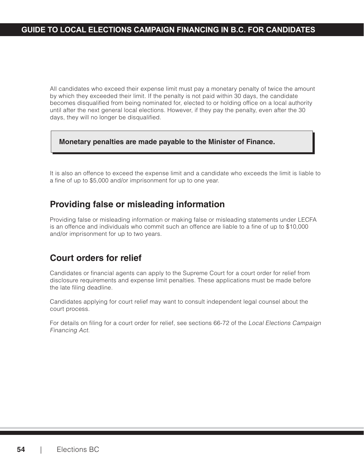All candidates who exceed their expense limit must pay a monetary penalty of twice the amount by which they exceeded their limit. If the penalty is not paid within 30 days, the candidate becomes disqualified from being nominated for, elected to or holding office on a local authority until after the next general local elections. However, if they pay the penalty, even after the 30 days, they will no longer be disqualified.

#### **Monetary penalties are made payable to the Minister of Finance.**

It is also an offence to exceed the expense limit and a candidate who exceeds the limit is liable to a fine of up to \$5,000 and/or imprisonment for up to one year.

### **Providing false or misleading information**

Providing false or misleading information or making false or misleading statements under LECFA is an offence and individuals who commit such an offence are liable to a fine of up to \$10,000 and/or imprisonment for up to two years.

## **Court orders for relief**

Candidates or financial agents can apply to the Supreme Court for a court order for relief from disclosure requirements and expense limit penalties. These applications must be made before the late filing deadline.

Candidates applying for court relief may want to consult independent legal counsel about the court process.

For details on filing for a court order for relief, see sections 66-72 of the Local Elections Campaign Financing Act.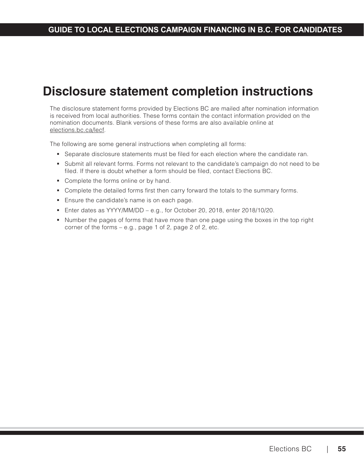## **Disclosure statement completion instructions**

The disclosure statement forms provided by Elections BC are mailed after nomination information is received from local authorities. These forms contain the contact information provided on the nomination documents. Blank versions of these forms are also available online at [elections.bc.ca/lecf](http://elections.bc.ca/lecf).

The following are some general instructions when completing all forms:

- **Separate disclosure statements must be filed for each election where the candidate ran.**
- Submit all relevant forms. Forms not relevant to the candidate's campaign do not need to be filed. If there is doubt whether a form should be filed, contact Elections BC.
- Complete the forms online or by hand.
- Complete the detailed forms first then carry forward the totals to the summary forms.
- **Ensure the candidate's name is on each page.**
- Enter dates as YYYY/MM/DD e.g., for October 20, 2018, enter 2018/10/20.
- Number the pages of forms that have more than one page using the boxes in the top right corner of the forms – e.g., page 1 of 2, page 2 of 2, etc.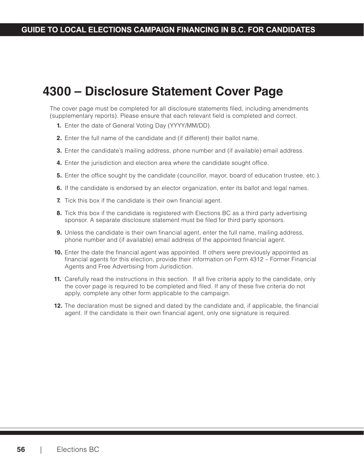### **GUIDE TO LOCAL ELECTIONS CAMPAIGN FINANCING IN B.C. FOR CANDIDATES**

## **4300 – Disclosure Statement Cover Page**

The cover page must be completed for all disclosure statements filed, including amendments (supplementary reports). Please ensure that each relevant field is completed and correct.

- **1.** Enter the date of General Voting Day (YYYY/MM/DD).
- **2.** Enter the full name of the candidate and (if different) their ballot name.
- **3.** Enter the candidate's mailing address, phone number and (if available) email address.
- **4.** Enter the jurisdiction and election area where the candidate sought office.
- **5.** Enter the office sought by the candidate (councillor, mayor, board of education trustee, etc.).
- **6.** If the candidate is endorsed by an elector organization, enter its ballot and legal names.
- **7.** Tick this box if the candidate is their own financial agent.
- **8.** Tick this box if the candidate is registered with Elections BC as a third party advertising sponsor. A separate disclosure statement must be filed for third party sponsors.
- **9.** Unless the candidate is their own financial agent, enter the full name, mailing address, phone number and (if available) email address of the appointed financial agent.
- **10.** Enter the date the financial agent was appointed. If others were previously appointed as financial agents for this election, provide their information on Form 4312 – Former Financial Agents and Free Advertising from Jurisdiction.
- **11.** Carefully read the instructions in this section. If all five criteria apply to the candidate, only the cover page is required to be completed and filed. If any of these five criteria do not apply, complete any other form applicable to the campaign.
- **12.** The declaration must be signed and dated by the candidate and, if applicable, the financial agent. If the candidate is their own financial agent, only one signature is required.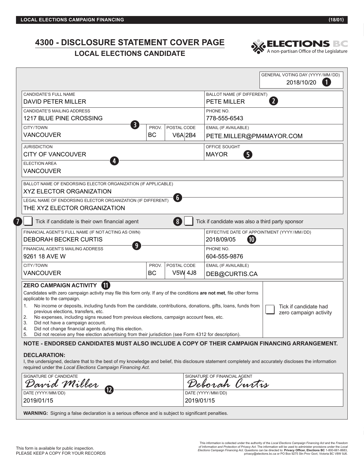### **4300 - DISCLOSURE STATEMENT COVER PAGE LOCAL ELECTIONS CANDIDATE**<br> **LOCAL ELECTIONS CANDIDATE**



|                                                                                                                                                                                                                                                                                                                                                                                                                                                                                                                                                                                                                                                                            |           |                               | GENERAL VOTING DAY (YYYY/MM/DD)<br>2018/10/20<br>$\left  \textbf{1} \right $                                                                                                           |
|----------------------------------------------------------------------------------------------------------------------------------------------------------------------------------------------------------------------------------------------------------------------------------------------------------------------------------------------------------------------------------------------------------------------------------------------------------------------------------------------------------------------------------------------------------------------------------------------------------------------------------------------------------------------------|-----------|-------------------------------|----------------------------------------------------------------------------------------------------------------------------------------------------------------------------------------|
| CANDIDATE'S FULL NAME                                                                                                                                                                                                                                                                                                                                                                                                                                                                                                                                                                                                                                                      |           |                               | BALLOT NAME (IF DIFFERENT)                                                                                                                                                             |
| <b>DAVID PETER MILLER</b>                                                                                                                                                                                                                                                                                                                                                                                                                                                                                                                                                                                                                                                  |           | $\overline{2}$<br>PETE MILLER |                                                                                                                                                                                        |
| CANDIDATE'S MAILING ADDRESS                                                                                                                                                                                                                                                                                                                                                                                                                                                                                                                                                                                                                                                |           | PHONE NO.                     |                                                                                                                                                                                        |
| 1217 BLUE PINE CROSSING                                                                                                                                                                                                                                                                                                                                                                                                                                                                                                                                                                                                                                                    |           | 778-555-6543                  |                                                                                                                                                                                        |
| $\mathbf{3}$<br>CITY/TOWN                                                                                                                                                                                                                                                                                                                                                                                                                                                                                                                                                                                                                                                  | PROV.     | POSTAL CODE                   | EMAIL (IF AVAILABLE)                                                                                                                                                                   |
| <b>VANCOUVER</b>                                                                                                                                                                                                                                                                                                                                                                                                                                                                                                                                                                                                                                                           | <b>BC</b> | V6A 2B4                       | PETE.MILLER@PM4MAYOR.COM                                                                                                                                                               |
| <b>JURISDICTION</b>                                                                                                                                                                                                                                                                                                                                                                                                                                                                                                                                                                                                                                                        |           |                               | OFFICE SOUGHT                                                                                                                                                                          |
| <b>CITY OF VANCOUVER</b>                                                                                                                                                                                                                                                                                                                                                                                                                                                                                                                                                                                                                                                   |           |                               | <b>MAYOR</b><br>6                                                                                                                                                                      |
| 4<br><b>ELECTION AREA</b>                                                                                                                                                                                                                                                                                                                                                                                                                                                                                                                                                                                                                                                  |           |                               |                                                                                                                                                                                        |
| <b>VANCOUVER</b>                                                                                                                                                                                                                                                                                                                                                                                                                                                                                                                                                                                                                                                           |           |                               |                                                                                                                                                                                        |
| BALLOT NAME OF ENDORSING ELECTOR ORGANIZATION (IF APPLICABLE)<br>XYZ ELECTOR ORGANIZATION<br>LEGAL NAME OF ENDORSING ELECTOR ORGANIZATION (IF DIFFERENT)<br>THE XYZ ELECTOR ORGANIZATION                                                                                                                                                                                                                                                                                                                                                                                                                                                                                   |           | $\left[ 6 \right]$            |                                                                                                                                                                                        |
| $\overline{7}$<br>Tick if candidate is their own financial agent                                                                                                                                                                                                                                                                                                                                                                                                                                                                                                                                                                                                           |           | 8                             | Tick if candidate was also a third party sponsor                                                                                                                                       |
| FINANCIAL AGENT'S FULL NAME (IF NOT ACTING AS OWN)                                                                                                                                                                                                                                                                                                                                                                                                                                                                                                                                                                                                                         |           |                               | EFFECTIVE DATE OF APPOINTMENT (YYYY/MM/DD)                                                                                                                                             |
| <b>DEBORAH BECKER CURTIS</b><br>9                                                                                                                                                                                                                                                                                                                                                                                                                                                                                                                                                                                                                                          |           |                               | $\pmb{10}$<br>2018/09/05                                                                                                                                                               |
| FINANCIAL AGENT'S MAILING ADDRESS                                                                                                                                                                                                                                                                                                                                                                                                                                                                                                                                                                                                                                          |           |                               | PHONE NO.                                                                                                                                                                              |
| 9261 18 AVE W                                                                                                                                                                                                                                                                                                                                                                                                                                                                                                                                                                                                                                                              |           |                               | 604-555-9876                                                                                                                                                                           |
| CITY/TOWN                                                                                                                                                                                                                                                                                                                                                                                                                                                                                                                                                                                                                                                                  | PROV.     | POSTAL CODE                   | EMAIL (IF AVAILABLE)                                                                                                                                                                   |
| <b>VANCOUVER</b>                                                                                                                                                                                                                                                                                                                                                                                                                                                                                                                                                                                                                                                           | BC        | <b>V5W 4J8</b>                | DEB@CURTIS.CA                                                                                                                                                                          |
| ZERO CAMPAIGN ACTIVITY 1<br>Candidates with zero campaign activity may file this form only. If any of the conditions are not met, file other forms<br>applicable to the campaign.<br>No income or deposits, including funds from the candidate, contributions, donations, gifts, loans, funds from<br>1.<br>previous elections, transfers, etc.<br>No expenses, including signs reused from previous elections, campaign account fees, etc.<br>2.<br>3.<br>Did not have a campaign account.<br>Did not change financial agents during this election.<br>4.<br>5.<br>Did not receive any free election advertising from their jurisdiction (see Form 4312 for description). |           |                               | Tick if candidate had<br>zero campaign activity<br>NOTE - ENDORSED CANDIDATES MUST ALSO INCLUDE A COPY OF THEIR CAMPAIGN FINANCING ARRANGEMENT.                                        |
| <b>DECLARATION:</b><br>required under the Local Elections Campaign Financing Act.<br>SIGNATURE OF CANDIDATE                                                                                                                                                                                                                                                                                                                                                                                                                                                                                                                                                                |           |                               | I, the undersigned, declare that to the best of my knowledge and belief, this disclosure statement completely and accurately discloses the information<br>SIGNATURE OF FINANCIAL AGENT |
| David Miller<br>$\mathbf{12}$<br>DATE (YYYY/MM/DD)                                                                                                                                                                                                                                                                                                                                                                                                                                                                                                                                                                                                                         |           |                               | Deborah Curtis<br>DATE (YYYY/MM/DD)                                                                                                                                                    |

**WARNING:** Signing a false declaration is a serious offence and is subject to significant penalties.

2019/01/15 2019/01/15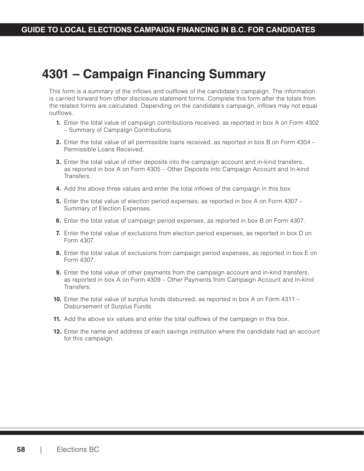## **4301 – Campaign Financing Summary**

This form is a summary of the inflows and outflows of the candidate's campaign. The information is carried forward from other disclosure statement forms. Complete this form after the totals from the related forms are calculated. Depending on the candidate's campaign, inflows may not equal outflows.

- **1.** Enter the total value of campaign contributions received, as reported in box A on Form 4302 – Summary of Campaign Contributions.
- **2.** Enter the total value of all permissible loans received, as reported in box B on Form 4304 Permissible Loans Received.
- **3.** Enter the total value of other deposits into the campaign account and in-kind transfers, as reported in box A on Form 4305 – Other Deposits into Campaign Account and In-kind Transfers.
- **4.** Add the above three values and enter the total inflows of the campaign in this box.
- **5.** Enter the total value of election period expenses, as reported in box A on Form 4307 Summary of Election Expenses.
- **6.** Enter the total value of campaign period expenses, as reported in box B on Form 4307.
- **7.** Enter the total value of exclusions from election period expenses, as reported in box D on Form 4307.
- **8.** Enter the total value of exclusions from campaign period expenses, as reported in box E on Form 4307.
- **9.** Enter the total value of other payments from the campaign account and in-kind transfers, as reported in box A on Form 4309 – Other Payments from Campaign Account and In-kind Transfers.
- **10.** Enter the total value of surplus funds disbursed, as reported in box A on Form 4311 Disbursement of Surplus Funds.
- **11.** Add the above six values and enter the total outflows of the campaign in this box.
- **12.** Enter the name and address of each savings institution where the candidate had an account for this campaign.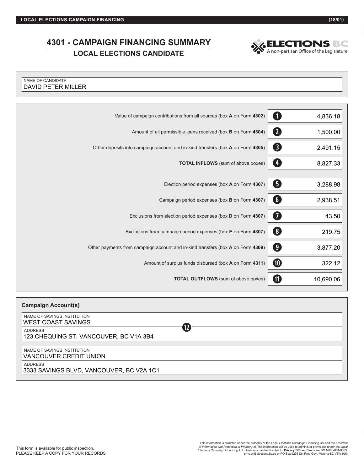Г

## **4301 - CAMPAIGN FINANCING SUMMARY CAMPAIGN FINANCING SUMMARY SELECTIONS BC**<br>
LOCAL ELECTIONS CANDIDATE



| NAME OF CANDIDATE<br><b>DAVID PETER MILLER</b>                                  |                         |
|---------------------------------------------------------------------------------|-------------------------|
|                                                                                 |                         |
| Value of campaign contributions from all sources (box A on Form 4302)           | $\mathbf 0$<br>4,836.18 |
| Amount of all permissible loans received (box B on Form 4304)                   | 2<br>1,500.00           |
| Other deposits into campaign account and in-kind transfers (box A on Form 4305) | 8<br>2,491.15           |
| <b>TOTAL INFLOWS</b> (sum of above boxes)                                       | Ø<br>8,827.33           |
| Election period expenses (box A on Form 4307)                                   | G<br>3,288.98           |
|                                                                                 |                         |
| Campaign period expenses (box B on Form 4307)                                   | $\bullet$<br>2,938.51   |
| Exclusions from election period expenses (box D on Form 4307)                   | Ø<br>43.50              |
| Exclusions from campaign period expenses (box E on Form 4307)                   | 8<br>219.75             |
| Other payments from campaign account and in-kind transfers (box A on Form 4309) | $\bullet$<br>3,877.20   |
| Amount of surplus funds disbursed (box A on Form 4311)                          | $\bf \Phi$<br>322.12    |
| TOTAL OUTFLOWS (sum of above boxes)                                             | 0<br>10,690.06          |

| <b>Campaign Account(s)</b>                                                  |  |
|-----------------------------------------------------------------------------|--|
| NAME OF SAVINGS INSTITUTION<br><b>WEST COAST SAVINGS</b>                    |  |
| $\overline{12}$<br><b>ADDRESS</b><br>123 CHEQUING ST, VANCOUVER, BC V1A 3B4 |  |
| NAME OF SAVINGS INSTITUTION<br>VANCOUVER CREDIT UNION                       |  |
| <b>ADDRESS</b><br>3333 SAVINGS BLVD, VANCOUVER, BC V2A 1C1                  |  |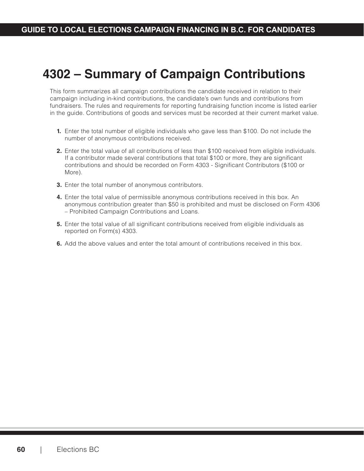## **4302 – Summary of Campaign Contributions**

This form summarizes all campaign contributions the candidate received in relation to their campaign including in-kind contributions, the candidate's own funds and contributions from fundraisers. The rules and requirements for reporting fundraising function income is listed earlier in the guide. Contributions of goods and services must be recorded at their current market value.

- **1.** Enter the total number of eligible individuals who gave less than \$100. Do not include the number of anonymous contributions received.
- **2.** Enter the total value of all contributions of less than \$100 received from eligible individuals. If a contributor made several contributions that total \$100 or more, they are significant contributions and should be recorded on Form 4303 - Significant Contributors (\$100 or More).
- **3.** Enter the total number of anonymous contributors.
- **4.** Enter the total value of permissible anonymous contributions received in this box. An anonymous contribution greater than \$50 is prohibited and must be disclosed on Form 4306 – Prohibited Campaign Contributions and Loans.
- **5.** Enter the total value of all significant contributions received from eligible individuals as reported on Form(s) 4303.
- **6.** Add the above values and enter the total amount of contributions received in this box.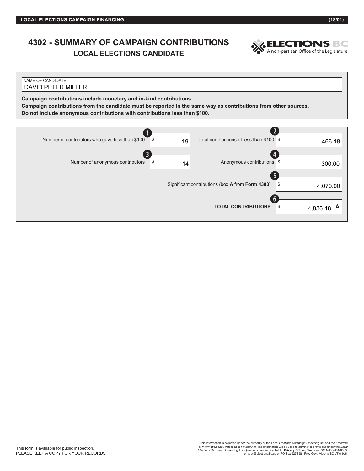## **4302 - SUMMARY OF CAMPAIGN CONTRIBUTIONS**

**LOCAL ELECTIONS CANDIDATE**



| NAME OF CANDIDATE<br><b>DAVID PETER MILLER</b>                                                                                                                                                                                                                      |         |                                                                 |          |
|---------------------------------------------------------------------------------------------------------------------------------------------------------------------------------------------------------------------------------------------------------------------|---------|-----------------------------------------------------------------|----------|
| Campaign contributions include monetary and in-kind contributions.<br>Campaign contributions from the candidate must be reported in the same way as contributions from other sources.<br>Do not include anonymous contributions with contributions less than \$100. |         |                                                                 |          |
|                                                                                                                                                                                                                                                                     |         |                                                                 |          |
| Number of contributors who gave less than \$100                                                                                                                                                                                                                     | #<br>19 | Total contributions of less than \$100                          | 466.18   |
| Number of anonymous contributors                                                                                                                                                                                                                                    | #<br>14 | Anonymous contributions                                         | 300.00   |
|                                                                                                                                                                                                                                                                     |         | Significant contributions (box <b>A</b> from <b>Form 4303</b> ) | 1.070.00 |

Significant contributions (box **A** from **Form 4303**) \$ **TOTAL CONTRIBUTIONS**  $\begin{bmatrix} s & 4 & 8 & 36 & 18 \end{bmatrix}$ 4,070.00 4,836.18 **y**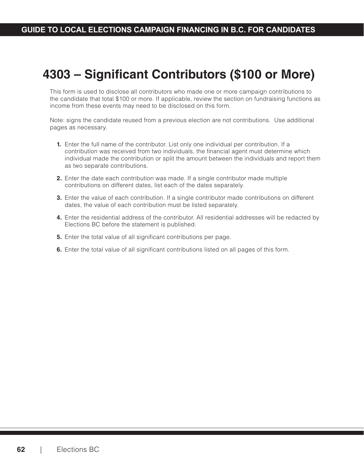# **4303 – Significant Contributors (\$100 or More)**

This form is used to disclose all contributors who made one or more campaign contributions to the candidate that total \$100 or more. If applicable, review the section on fundraising functions as income from these events may need to be disclosed on this form.

Note: signs the candidate reused from a previous election are not contributions. Use additional pages as necessary.

- **1.** Enter the full name of the contributor. List only one individual per contribution. If a contribution was received from two individuals, the financial agent must determine which individual made the contribution or split the amount between the individuals and report them as two separate contributions.
- **2.** Enter the date each contribution was made. If a single contributor made multiple contributions on different dates, list each of the dates separately.
- **3.** Enter the value of each contribution. If a single contributor made contributions on different dates, the value of each contribution must be listed separately.
- **4.** Enter the residential address of the contributor. All residential addresses will be redacted by Elections BC before the statement is published.
- **5.** Enter the total value of all significant contributions per page.
- **6.** Enter the total value of all significant contributions listed on all pages of this form.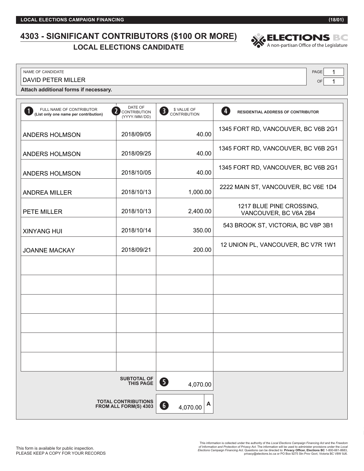## **4303 - SIGNIFICANT CONTRIBUTORS (\$100 OR MORE) LOCANT CONTRIBUTORS (\$100 OR MORE)**<br>LOCAL ELECTIONS CANDIDATE<br>A non-partisan Office of the Legislature



NAME OF CANDIDATE PAGE

DAVID PETER MILLER

**Attach additional forms if necessary.**

| FULL NAME OF CONTRIBUTOR<br>(List only one name per contribution) | DATE OF<br>CONTRIBUTION<br>(YYYY/MM/DD)             | \$ VALUE OF<br>$\overline{\mathbf{3}}$<br><b>CONTRIBUTION</b> | $\mathbf{I}$<br>RESIDENTIAL ADDRESS OF CONTRIBUTOR |
|-------------------------------------------------------------------|-----------------------------------------------------|---------------------------------------------------------------|----------------------------------------------------|
| ANDERS HOLMSON                                                    | 2018/09/05                                          | 40.00                                                         | 1345 FORT RD, VANCOUVER, BC V6B 2G1                |
| ANDERS HOLMSON                                                    | 2018/09/25                                          | 40.00                                                         | 1345 FORT RD, VANCOUVER, BC V6B 2G1                |
| ANDERS HOLMSON                                                    | 2018/10/05                                          | 40.00                                                         | 1345 FORT RD, VANCOUVER, BC V6B 2G1                |
| <b>ANDREA MILLER</b>                                              | 2018/10/13                                          | 1,000.00                                                      | 2222 MAIN ST, VANCOUVER, BC V6E 1D4                |
| PETE MILLER                                                       | 2018/10/13                                          | 2,400.00                                                      | 1217 BLUE PINE CROSSING,<br>VANCOUVER, BC V6A 2B4  |
| <b>XINYANG HUI</b>                                                | 2018/10/14                                          | 350.00                                                        | 543 BROOK ST, VICTORIA, BC V8P 3B1                 |
| <b>JOANNE MACKAY</b>                                              | 2018/09/21                                          | 200.00                                                        | 12 UNION PL, VANCOUVER, BC V7R 1W1                 |
|                                                                   |                                                     |                                                               |                                                    |
|                                                                   |                                                     |                                                               |                                                    |
|                                                                   |                                                     |                                                               |                                                    |
|                                                                   |                                                     |                                                               |                                                    |
|                                                                   |                                                     |                                                               |                                                    |
|                                                                   |                                                     |                                                               |                                                    |
|                                                                   | <b>SUBTOTAL OF</b><br><b>THIS PAGE</b>              | 0<br>4,070.00                                                 |                                                    |
|                                                                   | <b>TOTAL CONTRIBUTIONS</b><br>FROM ALL FORM(S) 4303 | A<br>$\bullet$<br>4,070.00                                    |                                                    |

OF 1 1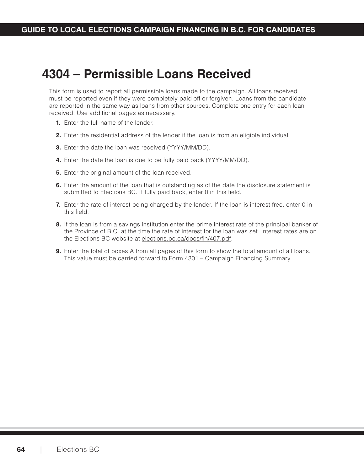## **4304 – Permissible Loans Received**

This form is used to report all permissible loans made to the campaign. All loans received must be reported even if they were completely paid off or forgiven. Loans from the candidate are reported in the same way as loans from other sources. Complete one entry for each loan received. Use additional pages as necessary.

- **1.** Enter the full name of the lender.
- **2.** Enter the residential address of the lender if the loan is from an eligible individual.
- **3.** Enter the date the loan was received (YYYY/MM/DD).
- **4.** Enter the date the loan is due to be fully paid back (YYYY/MM/DD).
- **5.** Enter the original amount of the loan received.
- **6.** Enter the amount of the loan that is outstanding as of the date the disclosure statement is submitted to Elections BC. If fully paid back, enter 0 in this field.
- **7.** Enter the rate of interest being charged by the lender. If the loan is interest free, enter 0 in this field.
- **8.** If the loan is from a savings institution enter the prime interest rate of the principal banker of the Province of B.C. at the time the rate of interest for the loan was set. Interest rates are on the Elections BC website at [elections.bc.ca/docs/fin/407.pdf.](http://elections.bc.ca/docs/fin/407.pdf)
- **9.** Enter the total of boxes A from all pages of this form to show the total amount of all loans. This value must be carried forward to Form 4301 – Campaign Financing Summary.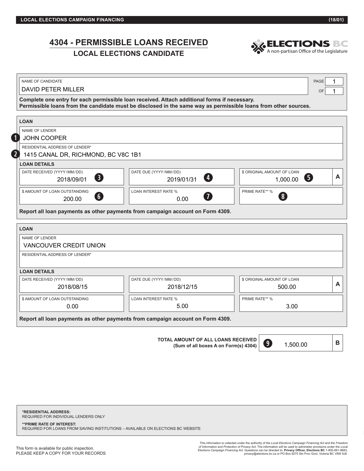## **4304 - PERMISSIBLE LOANS RECEIVED**

**LOCAL ELECTIONS CANDIDATE**



| <b>DAVID PETER MILLER</b>                            |                                                                                                                                                                                                                 | OF                         |
|------------------------------------------------------|-----------------------------------------------------------------------------------------------------------------------------------------------------------------------------------------------------------------|----------------------------|
|                                                      | Complete one entry for each permissible loan received. Attach additional forms if necessary.<br>Permissible loans from the candidate must be disclosed in the same way as permissible loans from other sources. |                            |
| <b>LOAN</b>                                          |                                                                                                                                                                                                                 |                            |
| NAME OF LENDER                                       |                                                                                                                                                                                                                 |                            |
| <b>JOHN COOPER</b>                                   |                                                                                                                                                                                                                 |                            |
| RESIDENTIAL ADDRESS OF LENDER*                       |                                                                                                                                                                                                                 |                            |
| 1415 CANAL DR, RICHMOND, BC V8C 1B1                  |                                                                                                                                                                                                                 |                            |
| <b>LOAN DETAILS</b>                                  |                                                                                                                                                                                                                 |                            |
| DATE RECEIVED (YYYY/MM/DD)                           | DATE DUE (YYYY/MM/DD)                                                                                                                                                                                           | \$ ORIGINAL AMOUNT OF LOAN |
|                                                      | Ø<br>2019/01/31                                                                                                                                                                                                 | 6<br>1,000.00              |
| 8<br>2018/09/01                                      |                                                                                                                                                                                                                 |                            |
|                                                      | <b>LOAN INTEREST RATE %</b>                                                                                                                                                                                     | PRIME RATE** %             |
| \$ AMOUNT OF LOAN OUTSTANDING<br>6<br>200.00         | 7<br>0.00<br>Report all loan payments as other payments from campaign account on Form 4309.                                                                                                                     | $\sqrt{8}$                 |
|                                                      |                                                                                                                                                                                                                 |                            |
| NAME OF LENDER                                       |                                                                                                                                                                                                                 |                            |
| <b>LOAN</b><br>VANCOUVER CREDIT UNION                |                                                                                                                                                                                                                 |                            |
| RESIDENTIAL ADDRESS OF LENDER*                       |                                                                                                                                                                                                                 |                            |
|                                                      |                                                                                                                                                                                                                 |                            |
|                                                      |                                                                                                                                                                                                                 |                            |
| DATE RECEIVED (YYYY/MM/DD)                           | DATE DUE (YYYY/MM/DD)                                                                                                                                                                                           | \$ ORIGINAL AMOUNT OF LOAN |
| 2018/08/15                                           | 2018/12/15                                                                                                                                                                                                      | 500.00                     |
| <b>LOAN DETAILS</b><br>\$ AMOUNT OF LOAN OUTSTANDING | <b>LOAN INTEREST RATE %</b>                                                                                                                                                                                     | PRIME RATE** %             |

**TOTAL AMOUNT OF ALL LOANS RECEIVED (Sum of all boxes A on Form(s) 4304) B**

1,500.00 **o**

**\*RESIDENTIAL ADDRESS:** REQUIRED FOR INDIVIDUAL LENDERS ONLY

#### **\*\*PRIME RATE OF INTEREST:**

REQUIRED FOR LOANS FROM SAVING INSTITUTIONS – AVAILABLE ON ELECTIONS BC WEBSITE

This information is collected under the authority of the *Local Elections Campaign Financing Act* and the *Freedom*  of I*nformation and Protection of Privacy Act*. The information will be used to administer provisions under the *Local*<br>Elections Campaign Financing Act. Questions can be directed to: Privacy Officer, Elections BC 1-800-66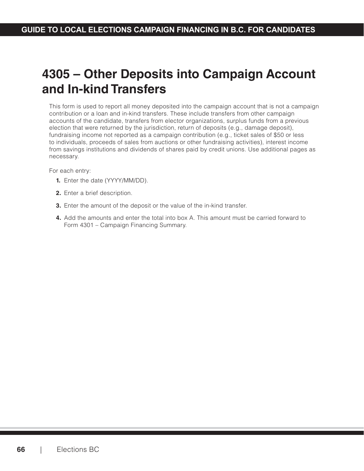## **4305 – Other Deposits into Campaign Account and In-kind Transfers**

This form is used to report all money deposited into the campaign account that is not a campaign contribution or a loan and in-kind transfers. These include transfers from other campaign accounts of the candidate, transfers from elector organizations, surplus funds from a previous election that were returned by the jurisdiction, return of deposits (e.g., damage deposit), fundraising income not reported as a campaign contribution (e.g., ticket sales of \$50 or less to individuals, proceeds of sales from auctions or other fundraising activities), interest income from savings institutions and dividends of shares paid by credit unions. Use additional pages as necessary.

For each entry:

- **1.** Enter the date (YYYY/MM/DD).
- **2.** Enter a brief description.
- **3.** Enter the amount of the deposit or the value of the in-kind transfer.
- **4.** Add the amounts and enter the total into box A. This amount must be carried forward to Form 4301 – Campaign Financing Summary.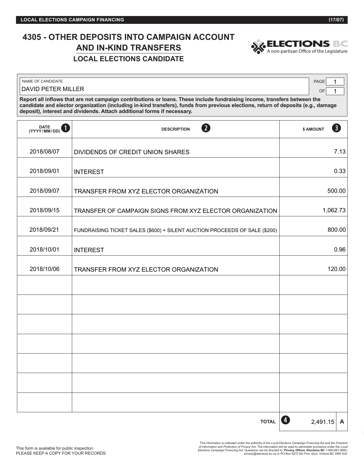## **4305 - OTHER DEPOSITS INTO CAMPAIGN ACCOUNT AND IN-KIND TRANSFERS LOCAL ELECTIONS CANDIDATE**



| NAME OF CANDIDATE                                                                                                                                                                                                                                                                                                                        | <b>PAGE</b> |  |  |  |  |
|------------------------------------------------------------------------------------------------------------------------------------------------------------------------------------------------------------------------------------------------------------------------------------------------------------------------------------------|-------------|--|--|--|--|
| DAVID PETER MILLER                                                                                                                                                                                                                                                                                                                       |             |  |  |  |  |
| Report all inflows that are not campaign contributions or loans. These include fundraising income, transfers between the<br>candidate and elector organization (including in-kind transfers), funds from previous elections, return of deposits (e.g., damage<br>deposit), interest and dividends. Attach additional forms if necessary. |             |  |  |  |  |

| DATE (YYYY/MM/DD) | $\mathbf 2$<br><b>DESCRIPTION</b>                                          | 8<br>\$ AMOUNT    |      |
|-------------------|----------------------------------------------------------------------------|-------------------|------|
| 2018/08/07        | DIVIDENDS OF CREDIT UNION SHARES                                           |                   | 7.13 |
| 2018/09/01        | <b>INTEREST</b>                                                            |                   | 0.33 |
| 2018/09/07        | TRANSFER FROM XYZ ELECTOR ORGANIZATION                                     | 500.00            |      |
| 2018/09/15        | TRANSFER OF CAMPAIGN SIGNS FROM XYZ ELECTOR ORGANIZATION                   | 1,062.73          |      |
| 2018/09/21        | FUNDRAISING TICKET SALES (\$600) + SILENT AUCTION PROCEEDS OF SALE (\$200) | 800.00            |      |
| 2018/10/01        | <b>INTEREST</b>                                                            |                   | 0.96 |
| 2018/10/06        | TRANSFER FROM XYZ ELECTOR ORGANIZATION                                     | 120.00            |      |
|                   |                                                                            |                   |      |
|                   |                                                                            |                   |      |
|                   |                                                                            |                   |      |
|                   |                                                                            |                   |      |
|                   |                                                                            |                   |      |
|                   |                                                                            |                   |      |
|                   |                                                                            |                   |      |
|                   | <b>TOTAL</b>                                                               | Ø<br>$2,491.15$ A |      |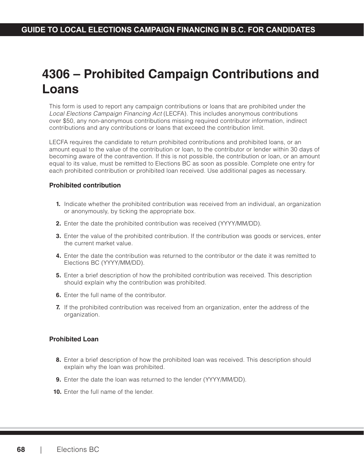## **4306 – Prohibited Campaign Contributions and Loans**

This form is used to report any campaign contributions or loans that are prohibited under the Local Elections Campaign Financing Act (LECFA). This includes anonymous contributions over \$50, any non-anonymous contributions missing required contributor information, indirect contributions and any contributions or loans that exceed the contribution limit.

LECFA requires the candidate to return prohibited contributions and prohibited loans, or an amount equal to the value of the contribution or loan, to the contributor or lender within 30 days of becoming aware of the contravention. If this is not possible, the contribution or loan, or an amount equal to its value, must be remitted to Elections BC as soon as possible. Complete one entry for each prohibited contribution or prohibited loan received. Use additional pages as necessary.

#### **Prohibited contribution**

- **1.** Indicate whether the prohibited contribution was received from an individual, an organization or anonymously, by ticking the appropriate box.
- **2.** Enter the date the prohibited contribution was received (YYYY/MM/DD).
- **3.** Enter the value of the prohibited contribution. If the contribution was goods or services, enter the current market value.
- **4.** Enter the date the contribution was returned to the contributor or the date it was remitted to Elections BC (YYYY/MM/DD).
- **5.** Enter a brief description of how the prohibited contribution was received. This description should explain why the contribution was prohibited.
- **6.** Enter the full name of the contributor.
- **7.** If the prohibited contribution was received from an organization, enter the address of the organization.

#### **Prohibited Loan**

- **8.** Enter a brief description of how the prohibited loan was received. This description should explain why the loan was prohibited.
- **9.** Enter the date the loan was returned to the lender (YYYY/MM/DD).
- **10.** Enter the full name of the lender.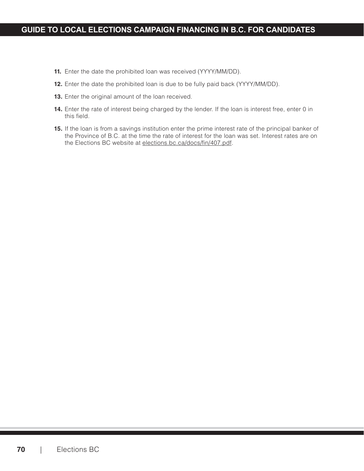### **GUIDE TO LOCAL ELECTIONS CAMPAIGN FINANCING IN B.C. FOR CANDIDATES**

- **11.** Enter the date the prohibited loan was received (YYYY/MM/DD).
- **12.** Enter the date the prohibited loan is due to be fully paid back (YYYY/MM/DD).
- **13.** Enter the original amount of the loan received.
- **14.** Enter the rate of interest being charged by the lender. If the loan is interest free, enter 0 in this field.
- **15.** If the loan is from a savings institution enter the prime interest rate of the principal banker of the Province of B.C. at the time the rate of interest for the loan was set. Interest rates are on the Elections BC website at [elections.bc.ca/docs/fin/407.pdf.](http://elections.bc.ca/docs/fin/407.pdf)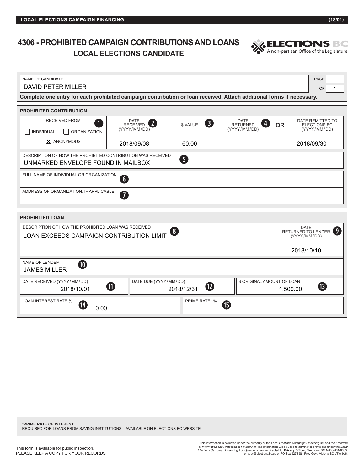REQUIRED FOR LOANS FROM SAVING INSTITUTIONS – AVAILABLE ON ELECTIONS BC WEBSITE

**\*PRIME RATE OF INTEREST:**

of I*nformation and Protection of Privacy Act*. The information will be used to administer provisions under the *Local*<br>Elections Carnpaign Financing Act. Questions can be directed to: Privacy Officer, Elections BC 1-800-6 This information is collected under the authority of the *Local Elections Campaign Financing Act* and the *Freedom* 

### **4306 - PROHIBITED CAMPAIGN CONTRIBUTIONS AND LOANS TED CAMPAIGN CONTRIBUTIONS AND LOANS AND SELECTIONS BOOK**<br>LOCAL ELECTIONS CANDIDATE

| <b>DAVID PETER MILLER</b>                                                                                                                                   |                                                                                                                      |                        |                                                           | OF                                                            |  |  |
|-------------------------------------------------------------------------------------------------------------------------------------------------------------|----------------------------------------------------------------------------------------------------------------------|------------------------|-----------------------------------------------------------|---------------------------------------------------------------|--|--|
|                                                                                                                                                             | Complete one entry for each prohibited campaign contribution or loan received. Attach additional forms if necessary. |                        |                                                           |                                                               |  |  |
| PROHIBITED CONTRIBUTION                                                                                                                                     |                                                                                                                      |                        |                                                           |                                                               |  |  |
| <b>RECEIVED FROM</b><br>$\mathbf{1}$<br>INDIVIDUAL<br><b>ORGANIZATION</b><br>. I<br>- 1                                                                     | <b>DATE</b><br>$\boxed{2}$<br><b>RECEIVED</b><br>(YYYY/MM/DD)                                                        | 3<br>\$ VALUE          | DATE<br>$\overline{4}$<br><b>RETURNED</b><br>(YYYY/MM/DD) | DATE REMITTED TO<br><b>OR</b><br>ELECTIONS BC<br>(YYYY/MM/DD) |  |  |
| X ANONYMOUS                                                                                                                                                 | 2018/09/08                                                                                                           | 60.00                  |                                                           | 2018/09/30                                                    |  |  |
| DESCRIPTION OF HOW THE PROHIBITED CONTRIBUTION WAS RECEIVED<br>UNMARKED ENVELOPE FOUND IN MAILBOX                                                           |                                                                                                                      | 6                      |                                                           |                                                               |  |  |
| FULL NAME OF INDIVIDUAL OR ORGANIZATION                                                                                                                     | $6 \overline{6}$                                                                                                     |                        |                                                           |                                                               |  |  |
|                                                                                                                                                             | ADDRESS OF ORGANIZATION, IF APPLICABLE<br>$\boxed{7}$                                                                |                        |                                                           |                                                               |  |  |
| <b>PROHIBITED LOAN</b>                                                                                                                                      |                                                                                                                      |                        |                                                           |                                                               |  |  |
| DESCRIPTION OF HOW THE PROHIBITED LOAN WAS RECEIVED<br><b>DATE</b><br>RETURNED TO LENDER 9<br>8<br>LOAN EXCEEDS CAMPAIGN CONTRIBUTION LIMIT<br>(YYYY/MM/DD) |                                                                                                                      |                        |                                                           |                                                               |  |  |
| 2018/10/10                                                                                                                                                  |                                                                                                                      |                        |                                                           |                                                               |  |  |
| NAME OF LENDER<br>$\bf \Phi$<br><b>JAMES MILLER</b>                                                                                                         |                                                                                                                      |                        |                                                           |                                                               |  |  |
| DATE RECEIVED (YYYY/MM/DD)<br>2018/10/01                                                                                                                    | DATE DUE (YYYY/MM/DD)<br>$\bf \Phi$                                                                                  | $\bf{D}$<br>2018/12/31 |                                                           | \$ ORIGINAL AMOUNT OF LOAN<br>®<br>1,500.00                   |  |  |
| <b>LOAN INTEREST RATE %</b><br>$\overline{14}$<br>0.00                                                                                                      |                                                                                                                      | PRIME RATE* %          | (6)                                                       |                                                               |  |  |

NAME OF CANDIDATE PAGE



1

 $\overline{\phantom{a}}$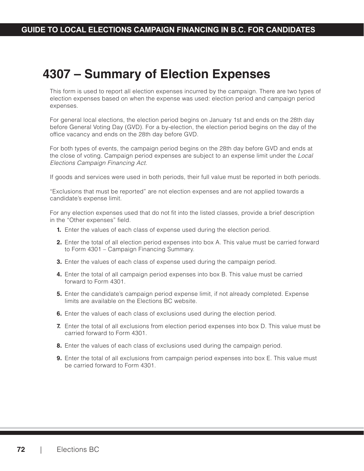# **4307 – Summary of Election Expenses**

This form is used to report all election expenses incurred by the campaign. There are two types of election expenses based on when the expense was used: election period and campaign period expenses.

For general local elections, the election period begins on January 1st and ends on the 28th day before General Voting Day (GVD). For a by-election, the election period begins on the day of the office vacancy and ends on the 28th day before GVD.

For both types of events, the campaign period begins on the 28th day before GVD and ends at the close of voting. Campaign period expenses are subject to an expense limit under the *Local Elections Campaign Financing Act*.

If goods and services were used in both periods, their full value must be reported in both periods.

"Exclusions that must be reported" are not election expenses and are not applied towards a candidate's expense limit.

For any election expenses used that do not fit into the listed classes, provide a brief description in the "Other expenses" field.

- **1.** Enter the values of each class of expense used during the election period.
- **2.** Enter the total of all election period expenses into box A. This value must be carried forward to Form 4301 – Campaign Financing Summary.
- **3.** Enter the values of each class of expense used during the campaign period.
- **4.** Enter the total of all campaign period expenses into box B. This value must be carried forward to Form 4301.
- **5.** Enter the candidate's campaign period expense limit, if not already completed. Expense limits are available on the Elections BC website.
- **6.** Enter the values of each class of exclusions used during the election period.
- **7.** Enter the total of all exclusions from election period expenses into box D. This value must be carried forward to Form 4301.
- **8.** Enter the values of each class of exclusions used during the campaign period.
- **9.** Enter the total of all exclusions from campaign period expenses into box E. This value must be carried forward to Form 4301.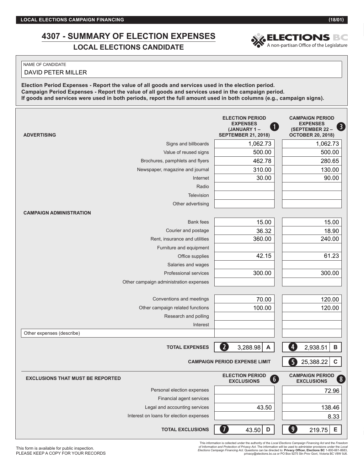#### **GUIDE TO LOCAL ELECTIONS CAMPAIGN FINANCING IN B.C. FOR CANDIDATES 4307 - SUMMARY OF ELECTION EXPENSES LOMMARY OF ELECTION EXPENSES A NON-PARTIONS BOOK A NON-PATTISAN Office of the Legislature**

### NAME OF CANDIDATE

DAVID PETER MILLER

**Election Period Expenses - Report the value of all goods and services used in the election period. Campaign Period Expenses - Report the value of all goods and services used in the campaign period. If goods and services were used in both periods, report the full amount used in both columns (e.g., campaign signs).**

| <b>ADVERTISING</b>                      | <b>ELECTION PERIOD</b><br><b>EXPENSES</b><br>0<br>(JANUARY 1-<br><b>SEPTEMBER 21, 2018)</b> | <b>CAMPAIGN PERIOD</b><br><b>EXPENSES</b><br>€<br>(SEPTEMBER 22 -<br><b>OCTOBER 20, 2018)</b>  |
|-----------------------------------------|---------------------------------------------------------------------------------------------|------------------------------------------------------------------------------------------------|
| Signs and billboards                    | 1,062.73                                                                                    | 1,062.73                                                                                       |
| Value of reused signs                   | 500.00                                                                                      | 500.00                                                                                         |
| Brochures, pamphlets and flyers         | 462.78                                                                                      | 280.65                                                                                         |
| Newspaper, magazine and journal         | 310.00                                                                                      | 130.00                                                                                         |
| Internet                                | 30.00                                                                                       | 90.00                                                                                          |
| Radio                                   |                                                                                             |                                                                                                |
| Television                              |                                                                                             |                                                                                                |
| Other advertising                       |                                                                                             |                                                                                                |
| <b>CAMPAIGN ADMINISTRATION</b>          |                                                                                             |                                                                                                |
| <b>Bank</b> fees                        | 15.00                                                                                       | 15.00                                                                                          |
| Courier and postage                     | 36.32                                                                                       | 18.90                                                                                          |
| Rent, insurance and utilities           | 360.00                                                                                      | 240.00                                                                                         |
| Furniture and equipment                 |                                                                                             |                                                                                                |
| Office supplies                         | 42.15                                                                                       | 61.23                                                                                          |
| Salaries and wages                      |                                                                                             |                                                                                                |
| Professional services                   | 300.00                                                                                      | 300.00                                                                                         |
| Other campaign administration expenses  |                                                                                             |                                                                                                |
| Conventions and meetings                | 70.00                                                                                       | 120.00                                                                                         |
| Other campaign related functions        | 100.00                                                                                      | 120.00                                                                                         |
| Research and polling                    |                                                                                             |                                                                                                |
| Interest                                |                                                                                             |                                                                                                |
| Other expenses (describe)               |                                                                                             |                                                                                                |
| <b>TOTAL EXPENSES</b>                   | $\boxed{2}$<br>3,288.98<br>$\boldsymbol{\mathsf{A}}$                                        | $\overline{4}$<br>2,938.51<br>$\mathsf B$                                                      |
|                                         | <b>CAMPAIGN PERIOD EXPENSE LIMIT</b>                                                        | 6<br>$\mathbf c$<br>25,388.22                                                                  |
| <b>EXCLUSIONS THAT MUST BE REPORTED</b> | <b>ELECTION PERIOD</b><br>(6)<br><b>EXCLUSIONS</b>                                          | <b>CAMPAIGN PERIOD</b><br>$\left( \begin{array}{c} 8 \end{array} \right)$<br><b>EXCLUSIONS</b> |
| Personal election expenses              |                                                                                             | 72.96                                                                                          |
| Financial agent services                |                                                                                             |                                                                                                |
| Legal and accounting services           | 43.50                                                                                       | 138.46                                                                                         |
| Interest on loans for election expenses |                                                                                             | 8.33                                                                                           |
| <b>TOTAL EXCLUSIONS</b>                 | 7<br>43.50<br>D                                                                             | $\boldsymbol{0}$<br>219.75<br>Е                                                                |

of I*nformation and Protection of Privacy Act*. The information will be used to administer provisions under the *Local*<br>Elections Carnpaign Financing Act. Questions can be directed to: Privacy Officer, Elections BC 1-800-6 This information is collected under the authority of the *Local Elections Campaign Financing Act* and the *Freedom* 

This form is available for public inspection. PLEASE KEEP A COPY FOR YOUR RECORDS

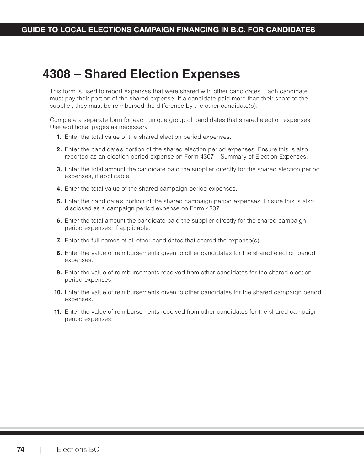# **4308 – Shared Election Expenses**

This form is used to report expenses that were shared with other candidates. Each candidate must pay their portion of the shared expense. If a candidate paid more than their share to the supplier, they must be reimbursed the difference by the other candidate(s).

Complete a separate form for each unique group of candidates that shared election expenses. Use additional pages as necessary.

- **1.** Enter the total value of the shared election period expenses.
- **2.** Enter the candidate's portion of the shared election period expenses. Ensure this is also reported as an election period expense on Form 4307 – Summary of Election Expenses.
- **3.** Enter the total amount the candidate paid the supplier directly for the shared election period expenses, if applicable.
- **4.** Enter the total value of the shared campaign period expenses.
- **5.** Enter the candidate's portion of the shared campaign period expenses. Ensure this is also disclosed as a campaign period expense on Form 4307.
- **6.** Enter the total amount the candidate paid the supplier directly for the shared campaign period expenses, if applicable.
- **7.** Enter the full names of all other candidates that shared the expense(s).
- **8.** Enter the value of reimbursements given to other candidates for the shared election period expenses.
- **9.** Enter the value of reimbursements received from other candidates for the shared election period expenses.
- **10.** Enter the value of reimbursements given to other candidates for the shared campaign period expenses.
- **11.** Enter the value of reimbursements received from other candidates for the shared campaign period expenses.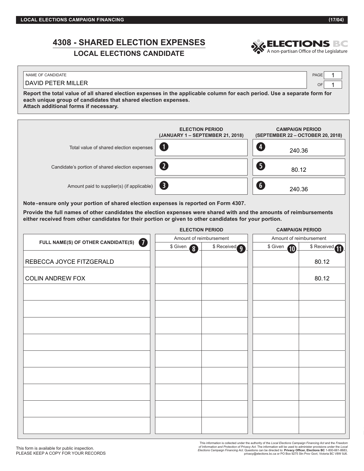# **4308 - SHARED ELECTION EXPENSES**



### **LOCAL ELECTIONS CANDIDATE**

| NAME OF CANDIDATE                                                                                                        | PAGE |
|--------------------------------------------------------------------------------------------------------------------------|------|
| DAVID PETER MILLER                                                                                                       |      |
| Report the total value of all shared election expenses in the applicable column for each period. Use a separate form for |      |

**each unique group of candidates that shared election expenses.**

**Attach additional forms if necessary.**

|                                                                                                                                                                                                            | <b>ELECTION PERIOD</b><br>(JANUARY 1 - SEPTEMBER 21, 2018) |               | <b>CAMPAIGN PERIOD</b><br>(SEPTEMBER 22 - OCTOBER 20, 2018) |                 |  |
|------------------------------------------------------------------------------------------------------------------------------------------------------------------------------------------------------------|------------------------------------------------------------|---------------|-------------------------------------------------------------|-----------------|--|
| Total value of shared election expenses                                                                                                                                                                    | O                                                          |               | Ø<br>240.36                                                 |                 |  |
| Candidate's portion of shared election expenses                                                                                                                                                            | 2                                                          |               | 6<br>80.12                                                  |                 |  |
| Amount paid to supplier(s) (if applicable)                                                                                                                                                                 | ❸                                                          |               | $\bullet$<br>240.36                                         |                 |  |
| Note-ensure only your portion of shared election expenses is reported on Form 4307.<br>Provide the full names of other candidates the election expenses were shared with and the amounts of reimbursements |                                                            |               |                                                             |                 |  |
| either received from other candidates for their portion or given to other candidates for your portion.                                                                                                     |                                                            |               |                                                             |                 |  |
|                                                                                                                                                                                                            | <b>ELECTION PERIOD</b>                                     |               | <b>CAMPAIGN PERIOD</b>                                      |                 |  |
| FULL NAME(S) OF OTHER CANDIDATE(S)<br>7)                                                                                                                                                                   | Amount of reimbursement                                    |               | Amount of reimbursement                                     |                 |  |
|                                                                                                                                                                                                            | \$ Given<br>$\odot$                                        | \$ Received 9 | \$ Given<br><b>10</b>                                       | \$ Received (1) |  |
| REBECCA JOYCE FITZGERALD                                                                                                                                                                                   |                                                            |               |                                                             | 80.12           |  |
| <b>COLIN ANDREW FOX</b>                                                                                                                                                                                    |                                                            |               |                                                             | 80.12           |  |
|                                                                                                                                                                                                            |                                                            |               |                                                             |                 |  |
|                                                                                                                                                                                                            |                                                            |               |                                                             |                 |  |
|                                                                                                                                                                                                            |                                                            |               |                                                             |                 |  |
|                                                                                                                                                                                                            |                                                            |               |                                                             |                 |  |
|                                                                                                                                                                                                            |                                                            |               |                                                             |                 |  |
|                                                                                                                                                                                                            |                                                            |               |                                                             |                 |  |
|                                                                                                                                                                                                            |                                                            |               |                                                             |                 |  |
|                                                                                                                                                                                                            |                                                            |               |                                                             |                 |  |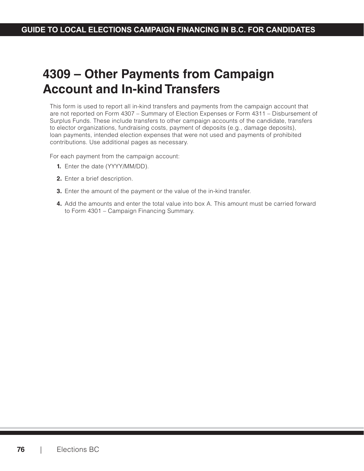# **4309 – Other Payments from Campaign Account and In-kind Transfers**

This form is used to report all in-kind transfers and payments from the campaign account that are not reported on Form 4307 – Summary of Election Expenses or Form 4311 – Disbursement of Surplus Funds. These include transfers to other campaign accounts of the candidate, transfers to elector organizations, fundraising costs, payment of deposits (e.g., damage deposits), loan payments, intended election expenses that were not used and payments of prohibited contributions. Use additional pages as necessary.

For each payment from the campaign account:

- **1.** Enter the date (YYYY/MM/DD).
- **2.** Enter a brief description.
- **3.** Enter the amount of the payment or the value of the in-kind transfer.
- **4.** Add the amounts and enter the total value into box A. This amount must be carried forward to Form 4301 – Campaign Financing Summary.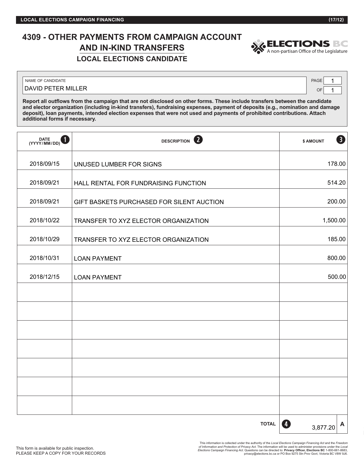### **4309 - OTHER PAYMENTS FROM CAMPAIGN ACCOUNT AND IN-KIND TRANSFERS LOCAL ELECTIONS CANDIDATE**



NAME OF CANDIDATE PAGE

DAVID PETER MILLER

OF 1 1

**Report all outflows from the campaign that are not disclosed on other forms. These include transfers between the candidate and elector organization (including in-kind transfers), fundraising expenses, payment of deposits (e.g., nomination and damage deposit), loan payments, intended election expenses that were not used and payments of prohibited contributions. Attach additional forms if necessary.**

| DATE<br>(YYYY/MM/DD)<br>1 | 2<br><b>DESCRIPTION</b>                   | 8<br>\$ AMOUNT            |
|---------------------------|-------------------------------------------|---------------------------|
| 2018/09/15                | UNUSED LUMBER FOR SIGNS                   | 178.00                    |
| 2018/09/21                | HALL RENTAL FOR FUNDRAISING FUNCTION      | 514.20                    |
| 2018/09/21                | GIFT BASKETS PURCHASED FOR SILENT AUCTION | 200.00                    |
| 2018/10/22                | TRANSFER TO XYZ ELECTOR ORGANIZATION      | 1,500.00                  |
| 2018/10/29                | TRANSFER TO XYZ ELECTOR ORGANIZATION      | 185.00                    |
| 2018/10/31                | <b>LOAN PAYMENT</b>                       | 800.00                    |
| 2018/12/15                | <b>LOAN PAYMENT</b>                       | 500.00                    |
|                           |                                           |                           |
|                           |                                           |                           |
|                           |                                           |                           |
|                           |                                           |                           |
|                           |                                           |                           |
|                           |                                           |                           |
|                           |                                           |                           |
|                           | <b>TOTAL</b>                              | $\bm{A}$<br>A<br>3,877.20 |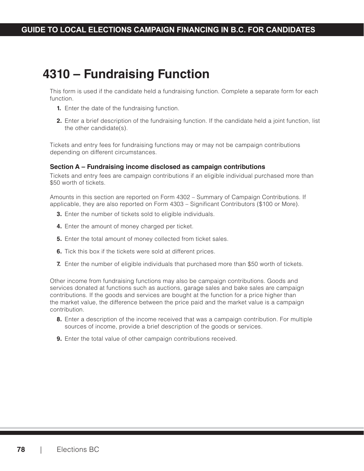# **4310 – Fundraising Function**

This form is used if the candidate held a fundraising function. Complete a separate form for each function.

- **1.** Enter the date of the fundraising function.
- **2.** Enter a brief description of the fundraising function. If the candidate held a joint function, list the other candidate(s).

Tickets and entry fees for fundraising functions may or may not be campaign contributions depending on different circumstances.

#### **Section A – Fundraising income disclosed as campaign contributions**

Tickets and entry fees are campaign contributions if an eligible individual purchased more than \$50 worth of tickets.

Amounts in this section are reported on Form 4302 – Summary of Campaign Contributions. If applicable, they are also reported on Form 4303 – Significant Contributors (\$100 or More).

- **3.** Enter the number of tickets sold to eligible individuals.
- **4.** Enter the amount of money charged per ticket.
- **5.** Enter the total amount of money collected from ticket sales.
- **6.** Tick this box if the tickets were sold at different prices.
- **7.** Enter the number of eligible individuals that purchased more than \$50 worth of tickets.

Other income from fundraising functions may also be campaign contributions. Goods and services donated at functions such as auctions, garage sales and bake sales are campaign contributions. If the goods and services are bought at the function for a price higher than the market value, the difference between the price paid and the market value is a campaign contribution.

- **8.** Enter a description of the income received that was a campaign contribution. For multiple sources of income, provide a brief description of the goods or services.
- **9.** Enter the total value of other campaign contributions received.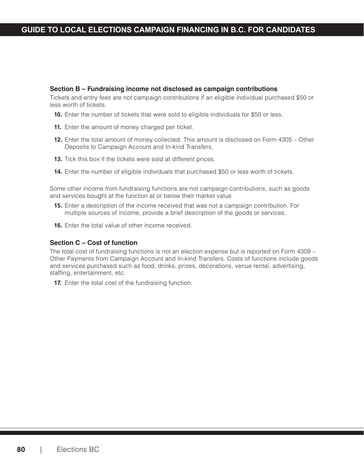#### **Section B – Fundraising income not disclosed as campaign contributions**

Tickets and entry fees are not campaign contributions if an eligible individual purchased \$50 or less worth of tickets.

- **10.** Enter the number of tickets that were sold to eligible individuals for \$50 or less.
- **11.** Enter the amount of money charged per ticket.
- **12.** Enter the total amount of money collected. This amount is disclosed on Form 4305 Other Deposits to Campaign Account and In-kind Transfers.
- **13.** Tick this box if the tickets were sold at different prices.
- **14.** Enter the number of eligible individuals that purchased \$50 or less worth of tickets.

Some other income from fundraising functions are not campaign contributions, such as goods and services bought at the function at or below their market value

- **15.** Enter a description of the income received that was not a campaign contribution. For multiple sources of income, provide a brief description of the goods or services.
- **16.** Enter the total value of other income received.

#### **Section C – Cost of function**

The total cost of fundraising functions is not an election expense but is reported on Form 4309 – Other Payments from Campaign Account and In-kind Transfers. Costs of functions include goods and services purchased such as food, drinks, prizes, decorations, venue rental, advertising, staffing, entertainment, etc.

**17.** Enter the total cost of the fundraising function.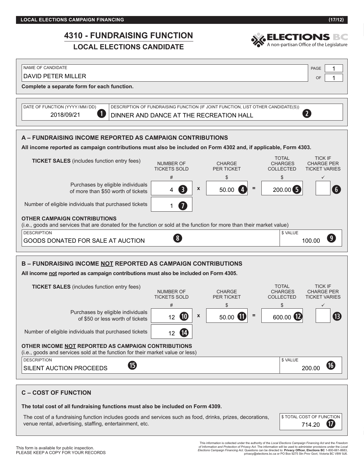### $\frac{1010}{1000}$  FUNDRAIGNO FUNCTIONS CAMPAIGN **4310 - FUNDRAISING FUNCTION**

### **LOCAL ELECTIONS CANDIDATE**

**A – FUNDRAISING INCOME REPORTED AS CAMPAIGN CONTRIBUTIONS All income reported as campaign contributions must also be included on Form 4302 and, if applicable, Form 4303. TICKET SALES** (includes function entry fees) NUMBER OF TICKETS SOLD CHARGE PER TICKET TOTAL CHARGES COLLECTED TICK IF CHARGE PER TICKET VARIES #  $\begin{array}{ccc} * & * & * \ * & * & * \ * & * & * \ * & * & * \ * & * & * \ * & * & * \ * & * & * \ * & * & * \ * & * & * \ * & * & * \ * & * & * \ * & * & * \ * & * & * \ * & * & * \ * & * & * \ * & * & * \ * & * & * \ * & * & * \ * & * & * \ * & * & * \ * & * & * \ * & * & * \ * & * & * \ * & * & * \ * & * & * \ * & * & * \ * & * & * \ * & * & * \ * & * & * \ * & * & * \ * & * & * \ * & * & * \ * & * & * \ * & * & * \ * & * & * \ *$ Purchases by eligible individuals of more than \$50 worth of tickets  $\begin{vmatrix} 4 & 3 \\ 4 & 3 \end{vmatrix}$   $\begin{vmatrix} x \\ x \end{vmatrix}$  = 50.00  $\begin{pmatrix} 4 \\ 4 \end{pmatrix}$  = Number of eligible individuals that purchased tickets **OTHER CAMPAIGN CONTRIBUTIONS** (i.e., goods and services that are donated for the function or sold at the function for more than their market value) DESCRIPTION SALUE **B – FUNDRAISING INCOME NOT REPORTED AS CAMPAIGN CONTRIBUTIONS All income not reported as campaign contributions must also be included on Form 4305.** OF **Complete a separate form for each function.** DATE OF FUNCTION (YYYY/MM/DD) DESCRIPTION OF FUNDRAISING FUNCTION (IF JOINT FUNCTION, LIST OTHER CANDIDATE(S)) DAVID PETER MILLER 1 2018/09/21 **DINNER AND DANCE AT THE RECREATION HALL** 4 3  $\times$  50.00 4 = 200.00 5 1 GOODS DONATED FOR SALE AT AUCTION 100.00 NOTE: 100.00 **e o r y u i**

NAME OF CANDIDATE PAGE PAGE AND THE RELEASE AND THE RELEASE AND THE PAGE AND THE PAGE PAGE AND THE PAGE AND THE PAGE

#### **TICKET SALES** (includes function entry fees) NUMBER OF TICKETS SOLD CHARGE PER TICKET TOTAL CHARGES COLLECTED TICK IF CHARGE PER TICKET VARIES #  $\begin{array}{ccc} * & * & * \ * & * & * \ * & * & * \ * & * & * \ * & * & * \ * & * & * \ * & * & * \ * & * & * \ * & * & * \ * & * & * \ * & * & * \ * & * & * \ * & * & * \ * & * & * \ * & * & * \ * & * & * \ * & * & * \ * & * & * \ * & * & * \ * & * & * \ * & * & * \ * & * & * \ * & * & * \ * & * & * \ * & * & * \ * & * & * \ * & * & * \ * & * & * \ * & * & * \ * & * & * \ * & * & * \ * & * & * \ * & * & * \ * & * & * \ * & * & * \ *$ Purchases by eligible individuals of \$50 or less worth of tickets  $\begin{vmatrix} 12 & 0 \end{vmatrix} \begin{vmatrix} x \end{vmatrix} = 50.00$ Number of eligible individuals that purchased tickets **OTHER INCOME NOT REPORTED AS CAMPAIGN CONTRIBUTIONS** (i.e., goods and services sold at the function for their market value or less) DESCRIPTION \$\UNLINE\U\RULL{\\Square\\Square\\Square\\Square\\Square\\Square\\Square\\Square\\Square\\Square\\Square\\Square\\Square\\Square\\Square\\Square\\Square\\Square\\Square\\Square\\Square\\Square\\Square\\Square\\ 600.00 12 SILENT AUCTION PROCEEDS **D** 200.00 **1) 1! 1@**  $13$ **1\$ 1% j**

| <b>C-COST OF FUNCTION</b>                                                                                                                                             |                                                          |
|-----------------------------------------------------------------------------------------------------------------------------------------------------------------------|----------------------------------------------------------|
| The total cost of all fundraising functions must also be included on Form 4309.                                                                                       |                                                          |
| The cost of a fundraising function includes goods and services such as food, drinks, prizes, decorations,<br>venue rental, advertising, staffing, entertainment, etc. | <b>\$TOTAL COST OF FUNCTION</b><br>$\sqrt{17}$<br>714.20 |

1

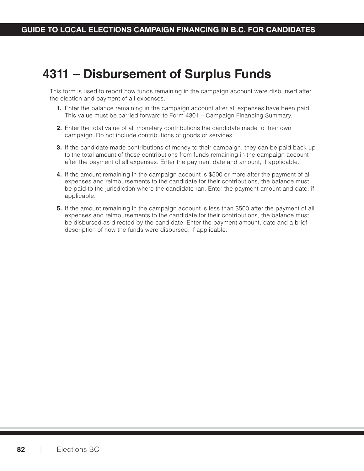# **4311 – Disbursement of Surplus Funds**

This form is used to report how funds remaining in the campaign account were disbursed after the election and payment of all expenses.

- **1.** Enter the balance remaining in the campaign account after all expenses have been paid. This value must be carried forward to Form 4301 – Campaign Financing Summary.
- **2.** Enter the total value of all monetary contributions the candidate made to their own campaign. Do not include contributions of goods or services.
- **3.** If the candidate made contributions of money to their campaign, they can be paid back up to the total amount of those contributions from funds remaining in the campaign account after the payment of all expenses. Enter the payment date and amount, if applicable.
- **4.** If the amount remaining in the campaign account is \$500 or more after the payment of all expenses and reimbursements to the candidate for their contributions, the balance must be paid to the jurisdiction where the candidate ran. Enter the payment amount and date, if applicable.
- **5.** If the amount remaining in the campaign account is less than \$500 after the payment of all expenses and reimbursements to the candidate for their contributions, the balance must be disbursed as directed by the candidate. Enter the payment amount, date and a brief description of how the funds were disbursed, if applicable.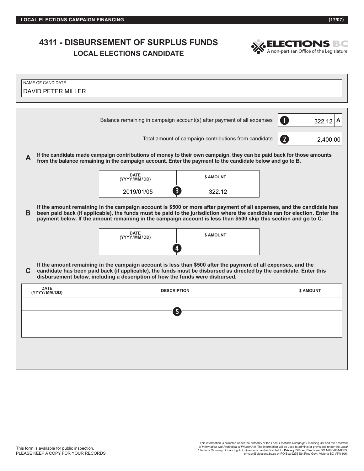### **4311 - DISBURSEMENT OF SURPLUS FUNDS LOCAL ELECTIONS CANDIDATE**<br> **LOCAL ELECTIONS CANDIDATE**<br> **LOCAL ELECTIONS CANDIDATE**



| NAME OF CANDIDATE<br><b>DAVID PETER MILLER</b>                                                                                                                                                                                                                                                                           |                                                                                                                                                                                                                                                                                                                                                                                                                     |                             |                                                                                                           |                                                                                                                      |  |  |
|--------------------------------------------------------------------------------------------------------------------------------------------------------------------------------------------------------------------------------------------------------------------------------------------------------------------------|---------------------------------------------------------------------------------------------------------------------------------------------------------------------------------------------------------------------------------------------------------------------------------------------------------------------------------------------------------------------------------------------------------------------|-----------------------------|-----------------------------------------------------------------------------------------------------------|----------------------------------------------------------------------------------------------------------------------|--|--|
|                                                                                                                                                                                                                                                                                                                          |                                                                                                                                                                                                                                                                                                                                                                                                                     |                             | Balance remaining in campaign account(s) after payment of all expenses                                    | O<br>322.12<br>A                                                                                                     |  |  |
|                                                                                                                                                                                                                                                                                                                          |                                                                                                                                                                                                                                                                                                                                                                                                                     |                             | Total amount of campaign contributions from candidate                                                     | $\mathbf{2}$<br>2,400.00                                                                                             |  |  |
| A                                                                                                                                                                                                                                                                                                                        |                                                                                                                                                                                                                                                                                                                                                                                                                     |                             | from the balance remaining in the campaign account. Enter the payment to the candidate below and go to B. | If the candidate made campaign contributions of money to their own campaign, they can be paid back for those amounts |  |  |
|                                                                                                                                                                                                                                                                                                                          |                                                                                                                                                                                                                                                                                                                                                                                                                     | <b>DATE</b><br>(YYYY/MM/DD) | \$ AMOUNT                                                                                                 |                                                                                                                      |  |  |
|                                                                                                                                                                                                                                                                                                                          |                                                                                                                                                                                                                                                                                                                                                                                                                     | 2019/01/05                  | $\left 3\right\rangle$<br>322.12                                                                          |                                                                                                                      |  |  |
| в                                                                                                                                                                                                                                                                                                                        | If the amount remaining in the campaign account is \$500 or more after payment of all expenses, and the candidate has<br>been paid back (if applicable), the funds must be paid to the jurisdiction where the candidate ran for election. Enter the<br>payment below. If the amount remaining in the campaign account is less than \$500 skip this section and go to C.<br><b>DATE</b><br>\$ AMOUNT<br>(YYYY/MM/DD) |                             |                                                                                                           |                                                                                                                      |  |  |
|                                                                                                                                                                                                                                                                                                                          |                                                                                                                                                                                                                                                                                                                                                                                                                     |                             |                                                                                                           |                                                                                                                      |  |  |
| If the amount remaining in the campaign account is less than \$500 after the payment of all expenses, and the<br>candidate has been paid back (if applicable), the funds must be disbursed as directed by the candidate. Enter this<br>C<br>disbursement below, including a description of how the funds were disbursed. |                                                                                                                                                                                                                                                                                                                                                                                                                     |                             |                                                                                                           |                                                                                                                      |  |  |
|                                                                                                                                                                                                                                                                                                                          | <b>DATE</b><br>(YYYY/MM/DD)                                                                                                                                                                                                                                                                                                                                                                                         |                             | <b>DESCRIPTION</b>                                                                                        | \$ AMOUNT                                                                                                            |  |  |
|                                                                                                                                                                                                                                                                                                                          | 5                                                                                                                                                                                                                                                                                                                                                                                                                   |                             |                                                                                                           |                                                                                                                      |  |  |
|                                                                                                                                                                                                                                                                                                                          |                                                                                                                                                                                                                                                                                                                                                                                                                     |                             |                                                                                                           |                                                                                                                      |  |  |
|                                                                                                                                                                                                                                                                                                                          |                                                                                                                                                                                                                                                                                                                                                                                                                     |                             |                                                                                                           |                                                                                                                      |  |  |
|                                                                                                                                                                                                                                                                                                                          |                                                                                                                                                                                                                                                                                                                                                                                                                     |                             |                                                                                                           |                                                                                                                      |  |  |
|                                                                                                                                                                                                                                                                                                                          |                                                                                                                                                                                                                                                                                                                                                                                                                     |                             |                                                                                                           |                                                                                                                      |  |  |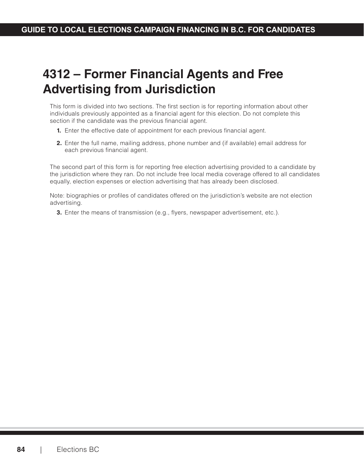# **4312 – Former Financial Agents and Free Advertising from Jurisdiction**

This form is divided into two sections. The first section is for reporting information about other individuals previously appointed as a financial agent for this election. Do not complete this section if the candidate was the previous financial agent.

- **1.** Enter the effective date of appointment for each previous financial agent.
- **2.** Enter the full name, mailing address, phone number and (if available) email address for each previous financial agent.

The second part of this form is for reporting free election advertising provided to a candidate by the jurisdiction where they ran. Do not include free local media coverage offered to all candidates equally, election expenses or election advertising that has already been disclosed.

Note: biographies or profiles of candidates offered on the jurisdiction's website are not election advertising.

**3.** Enter the means of transmission (e.g., flyers, newspaper advertisement, etc.).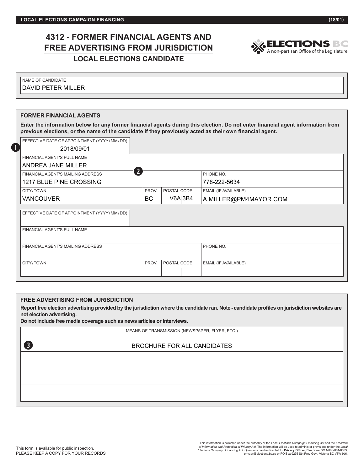## **4312 - FORMER FINANCIAL AGENTS AND FREE ADVERTISING FROM JURISDICTION LOCAL ELECTIONS CANDIDATE**



| I NAME OF CANDIDATE |
|---------------------|
| DAVID PETER MILLER  |
|                     |
|                     |

| <b>FORMER FINANCIAL AGENTS</b>                                                                                                                                                                                                             |           |             |                             |  |  |
|--------------------------------------------------------------------------------------------------------------------------------------------------------------------------------------------------------------------------------------------|-----------|-------------|-----------------------------|--|--|
| Enter the information below for any former financial agents during this election. Do not enter financial agent information from<br>previous elections, or the name of the candidate if they previously acted as their own financial agent. |           |             |                             |  |  |
| EFFECTIVE DATE OF APPOINTMENT (YYYY/MM/DD)                                                                                                                                                                                                 |           |             |                             |  |  |
| $\blacksquare$<br>2018/09/01                                                                                                                                                                                                               |           |             |                             |  |  |
| FINANCIAL AGENT'S FULL NAME                                                                                                                                                                                                                |           |             |                             |  |  |
| ANDREA JANE MILLER                                                                                                                                                                                                                         |           |             |                             |  |  |
| $\overline{2}$<br>FINANCIAL AGENT'S MAILING ADDRESS                                                                                                                                                                                        |           |             | PHONE NO.                   |  |  |
| 1217 BLUE PINE CROSSING                                                                                                                                                                                                                    |           |             |                             |  |  |
| CITY/TOWN                                                                                                                                                                                                                                  | PROV.     | POSTAL CODE | <b>EMAIL (IF AVAILABLE)</b> |  |  |
| <b>VANCOUVER</b>                                                                                                                                                                                                                           | BC.       | V6A 3B4     | A.MILLER@PM4MAYOR.COM       |  |  |
| EFFECTIVE DATE OF APPOINTMENT (YYYY/MM/DD)                                                                                                                                                                                                 |           |             |                             |  |  |
| FINANCIAL AGENT'S FULL NAME                                                                                                                                                                                                                |           |             |                             |  |  |
| FINANCIAL AGENT'S MAILING ADDRESS                                                                                                                                                                                                          | PHONE NO. |             |                             |  |  |
| CITY/TOWN                                                                                                                                                                                                                                  | PROV.     | POSTAL CODE | <b>EMAIL (IF AVAILABLE)</b> |  |  |
|                                                                                                                                                                                                                                            |           |             |                             |  |  |

#### **FREE ADVERTISING FROM JURISDICTION**

**Report free election advertising provided by the jurisdiction where the candidate ran. Note - candidate profiles on jurisdiction websites are not election advertising.** 

**Do not include free media coverage such as news articles or interviews.**

MEANS OF TRANSMISSION (NEWSPAPER, FLYER, ETC.)

#### BROCHURE FOR ALL CANDIDATES

**e**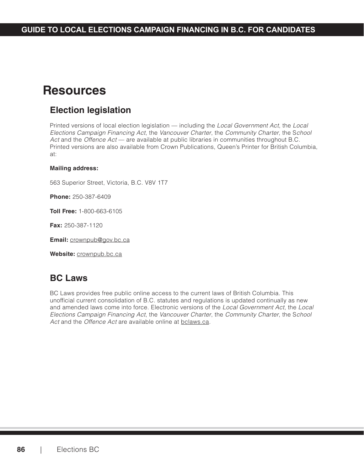# **Resources**

## **Election legislation**

Printed versions of local election legislation — including the *Local Government Act*, the *Local Elections Campaign Financing Act*, the *Vancouver Charter*, the *Community Charter*, the S*chool Act* and the *Offence Act* — are available at public libraries in communities throughout B.C. Printed versions are also available from Crown Publications, Queen's Printer for British Columbia, at:

#### **Mailing address:**

563 Superior Street, Victoria, B.C. V8V 1T7

**Phone:** 250-387-6409

**Toll Free:** 1-800-663-6105

**Fax:** 250-387-1120

**Email:** [crownpub@gov.bc.ca](mailto:crownpub@gov.bc.ca)

**Website:** [crownpub.bc.ca](http://crownpub.bc.ca)

## **BC Laws**

BC Laws provides free public online access to the current laws of British Columbia. This unofficial current consolidation of B.C. statutes and regulations is updated continually as new and amended laws come into force. Electronic versions of the *Local Government Act*, the *Local Elections Campaign Financing Act*, the *Vancouver Charter*, the *Community Charter*, the S*chool Act* and the *Offence Act* are available online at [bclaws.ca.](http://bclaws.ca)